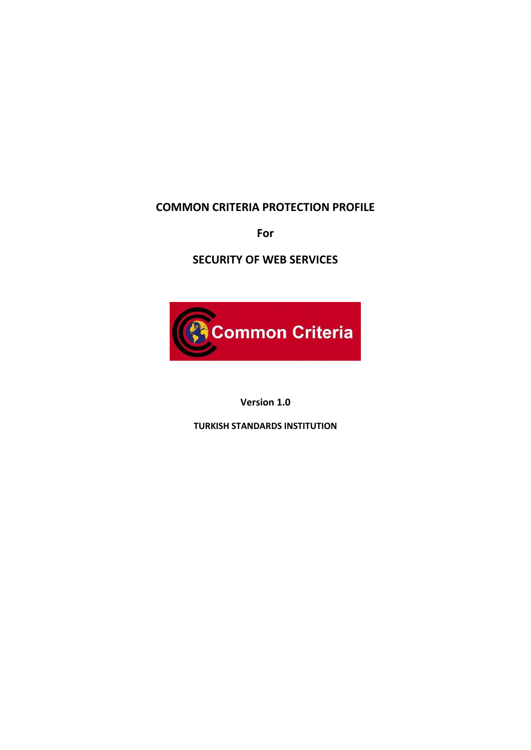## **COMMON CRITERIA PROTECTION PROFILE**

**For**

**SECURITY OF WEB SERVICES**



**Version 1.0**

**TURKISH STANDARDS INSTITUTION**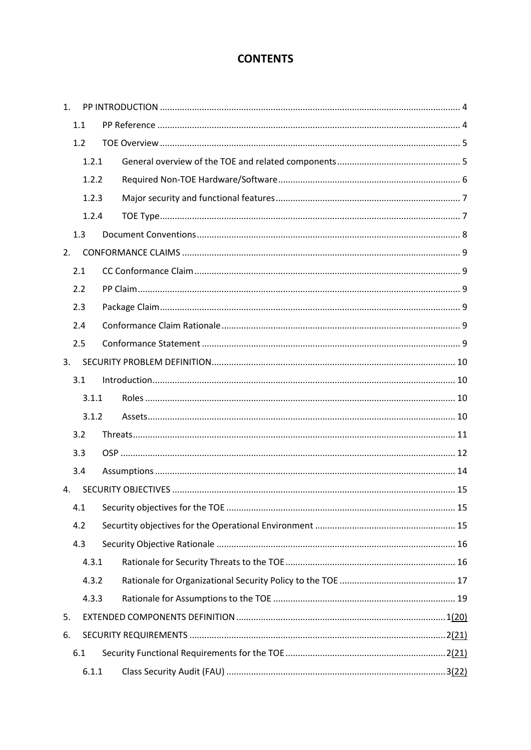# **CONTENTS**

| $\mathbf{1}$ . |     |       |  |  |  |  |  |  |  |
|----------------|-----|-------|--|--|--|--|--|--|--|
|                | 1.1 |       |  |  |  |  |  |  |  |
|                | 1.2 |       |  |  |  |  |  |  |  |
|                |     | 1.2.1 |  |  |  |  |  |  |  |
|                |     | 1.2.2 |  |  |  |  |  |  |  |
|                |     | 1.2.3 |  |  |  |  |  |  |  |
|                |     | 1.2.4 |  |  |  |  |  |  |  |
|                | 1.3 |       |  |  |  |  |  |  |  |
| 2.             |     |       |  |  |  |  |  |  |  |
|                | 2.1 |       |  |  |  |  |  |  |  |
|                | 2.2 |       |  |  |  |  |  |  |  |
|                | 2.3 |       |  |  |  |  |  |  |  |
|                | 2.4 |       |  |  |  |  |  |  |  |
|                | 2.5 |       |  |  |  |  |  |  |  |
| 3.             |     |       |  |  |  |  |  |  |  |
|                |     |       |  |  |  |  |  |  |  |
|                | 3.1 |       |  |  |  |  |  |  |  |
|                |     | 3.1.1 |  |  |  |  |  |  |  |
|                |     | 3.1.2 |  |  |  |  |  |  |  |
|                | 3.2 |       |  |  |  |  |  |  |  |
|                | 3.3 |       |  |  |  |  |  |  |  |
|                | 3.4 |       |  |  |  |  |  |  |  |
| 4.             |     |       |  |  |  |  |  |  |  |
|                | 4.1 |       |  |  |  |  |  |  |  |
|                | 4.2 |       |  |  |  |  |  |  |  |
|                | 4.3 |       |  |  |  |  |  |  |  |
|                |     | 4.3.1 |  |  |  |  |  |  |  |
|                |     | 4.3.2 |  |  |  |  |  |  |  |
|                |     | 4.3.3 |  |  |  |  |  |  |  |
| 5.             |     |       |  |  |  |  |  |  |  |
| 6.             |     |       |  |  |  |  |  |  |  |
|                | 6.1 |       |  |  |  |  |  |  |  |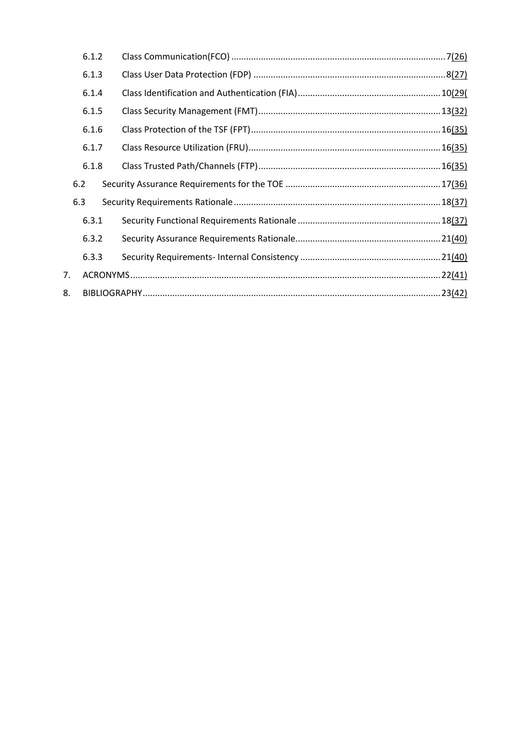|    | 6.1.2 |  |        |  |  |  |  |  |  |
|----|-------|--|--------|--|--|--|--|--|--|
|    | 6.1.3 |  |        |  |  |  |  |  |  |
|    | 6.1.4 |  |        |  |  |  |  |  |  |
|    | 6.1.5 |  |        |  |  |  |  |  |  |
|    | 6.1.6 |  |        |  |  |  |  |  |  |
|    | 6.1.7 |  |        |  |  |  |  |  |  |
|    | 6.1.8 |  |        |  |  |  |  |  |  |
|    | 6.2   |  |        |  |  |  |  |  |  |
|    | 6.3   |  |        |  |  |  |  |  |  |
|    | 6.3.1 |  |        |  |  |  |  |  |  |
|    | 6.3.2 |  |        |  |  |  |  |  |  |
|    | 6.3.3 |  |        |  |  |  |  |  |  |
| 7. |       |  | 22(41) |  |  |  |  |  |  |
| 8. |       |  |        |  |  |  |  |  |  |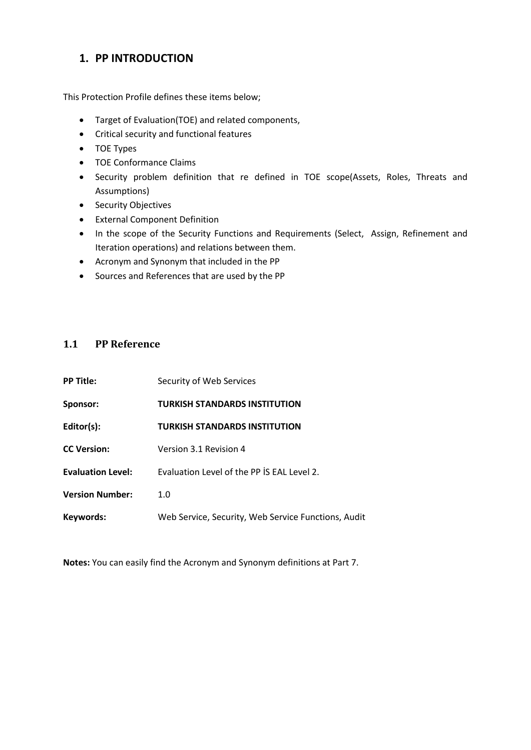## <span id="page-3-0"></span>**1. PP INTRODUCTION**

This Protection Profile defines these items below;

- Target of Evaluation(TOE) and related components,
- Critical security and functional features
- TOE Types
- TOF Conformance Claims
- Security problem definition that re defined in TOE scope(Assets, Roles, Threats and Assumptions)
- Security Objectives
- External Component Definition
- In the scope of the Security Functions and Requirements (Select, Assign, Refinement and Iteration operations) and relations between them.
- Acronym and Synonym that included in the PP
- Sources and References that are used by the PP

### <span id="page-3-1"></span>**1.1 PP Reference**

| <b>PP Title:</b>         | Security of Web Services                            |
|--------------------------|-----------------------------------------------------|
| <b>Sponsor:</b>          | <b>TURKISH STANDARDS INSTITUTION</b>                |
| Editor(s):               | <b>TURKISH STANDARDS INSTITUTION</b>                |
| <b>CC Version:</b>       | Version 3.1 Revision 4                              |
| <b>Evaluation Level:</b> | Evaluation Level of the PP IS EAL Level 2.          |
| <b>Version Number:</b>   | 1.0                                                 |
| Keywords:                | Web Service, Security, Web Service Functions, Audit |

**Notes:** You can easily find the Acronym and Synonym definitions at Part 7.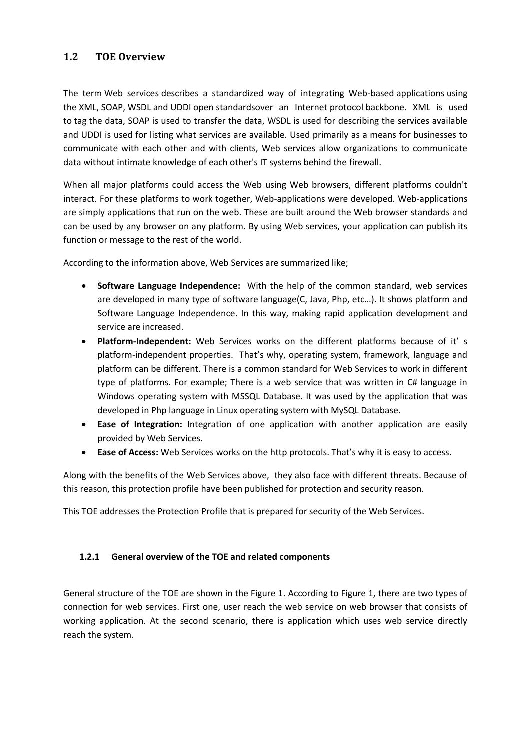### <span id="page-4-0"></span>**1.2 TOE Overview**

The term Web services describes a standardized way of integrating Web-based [applications](http://www.webopedia.com/TERM/A/application.html) using the [XML,](http://www.webopedia.com/TERM/X/XML.html) [SOAP,](http://www.webopedia.com/TERM/S/SOAP.html) [WSDL](http://www.webopedia.com/TERM/W/WSDL.html) and [UDDI](http://www.webopedia.com/TERM/U/UDDI.html) [open](http://www.webopedia.com/TERM/O/open.html) [standardso](http://www.webopedia.com/TERM/S/standard.html)ver an Internet [protocol](http://www.webopedia.com/TERM/P/protocol.html) [backbone.](http://www.webopedia.com/TERM/B/backbone.html) XML is used to [tag](http://www.webopedia.com/TERM/T/tag.html) the data, SOAP is used to transfer the data, WSDL is used for describing the services available and UDDI is used for listing what services are available. Used primarily as a means for businesses to communicate with each other and with clients, Web services allow organizations to communicate data without intimate knowledge of each other's IT systems behind the [firewall.](http://www.webopedia.com/TERM/F/firewall.html)

When all major platforms could access the Web using Web browsers, different platforms couldn't interact. For these platforms to work together, Web-applications were developed. Web-applications are simply applications that run on the web. These are built around the Web browser standards and can be used by any browser on any platform. By using Web services, your application can publish its function or message to the rest of the world.

According to the information above, Web Services are summarized like;

- **Software Language Independence:** With the help of the common standard, web services are developed in many type of software language(C, Java, Php, etc…). It shows platform and Software Language Independence. In this way, making rapid application development and service are increased.
- **Platform-Independent:** Web Services works on the different platforms because of it' s platform-independent properties. That's why, operating system, framework, language and platform can be different. There is a common standard for Web Services to work in different type of platforms. For example; There is a web service that was written in C# language in Windows operating system with MSSQL Database. It was used by the application that was developed in Php language in Linux operating system with MySQL Database.
- **Ease of Integration:** Integration of one application with another application are easily provided by Web Services.
- **Ease of Access:** Web Services works on the http protocols. That's why it is easy to access.

Along with the benefits of the Web Services above, they also face with different threats. Because of this reason, this protection profile have been published for protection and security reason.

This TOE addresses the Protection Profile that is prepared for security of the Web Services.

### <span id="page-4-1"></span>**1.2.1 General overview of the TOE and related components**

General structure of the TOE are shown in the Figure 1. According to Figure 1, there are two types of connection for web services. First one, user reach the web service on web browser that consists of working application. At the second scenario, there is application which uses web service directly reach the system.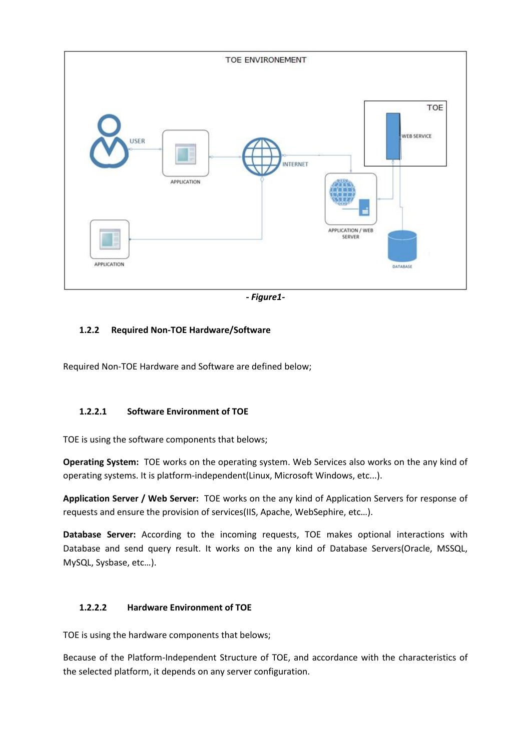

*- Figure1-*

### <span id="page-5-0"></span>**1.2.2 Required Non-TOE Hardware/Software**

Required Non-TOE Hardware and Software are defined below;

### **1.2.2.1 Software Environment of TOE**

TOE is using the software components that belows;

**Operating System:** TOE works on the operating system. Web Services also works on the any kind of operating systems. It is platform-independent(Linux, Microsoft Windows, etc...).

**Application Server / Web Server:** TOE works on the any kind of Application Servers for response of requests and ensure the provision of services(IIS, Apache, WebSephire, etc…).

**Database Server:** According to the incoming requests, TOE makes optional interactions with Database and send query result. It works on the any kind of Database Servers(Oracle, MSSQL, MySQL, Sysbase, etc…).

### **1.2.2.2 Hardware Environment of TOE**

TOE is using the hardware components that belows;

Because of the Platform-Independent Structure of TOE, and accordance with the characteristics of the selected platform, it depends on any server configuration.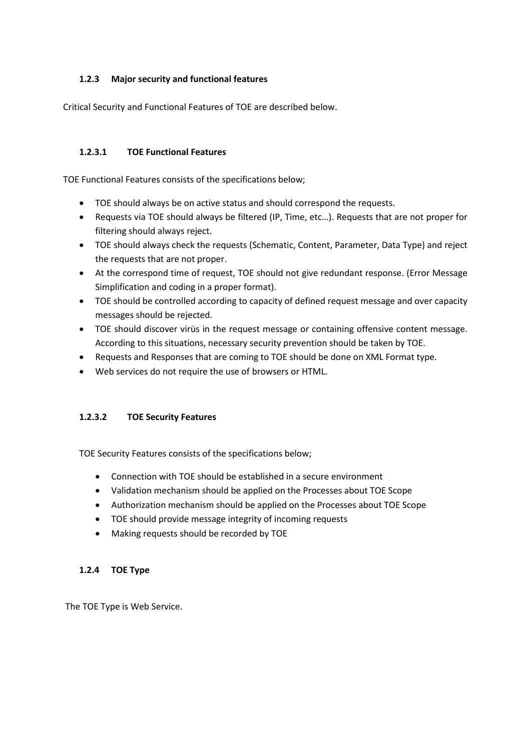### <span id="page-6-0"></span>**1.2.3 Major security and functional features**

Critical Security and Functional Features of TOE are described below.

### **1.2.3.1 TOE Functional Features**

TOE Functional Features consists of the specifications below;

- TOE should always be on active status and should correspond the requests.
- Requests via TOE should always be filtered (IP, Time, etc…). Requests that are not proper for filtering should always reject.
- TOE should always check the requests (Schematic, Content, Parameter, Data Type) and reject the requests that are not proper.
- At the correspond time of request, TOE should not give redundant response. (Error Message Simplification and coding in a proper format).
- TOE should be controlled according to capacity of defined request message and over capacity messages should be rejected.
- TOE should discover virüs in the request message or containing offensive content message. According to this situations, necessary security prevention should be taken by TOE.
- Requests and Responses that are coming to TOE should be done on XML Format type.
- Web services do not require the use of [browsers](http://www.webopedia.com/TERM/B/browser.html) or [HTML.](http://www.webopedia.com/TERM/H/HTML.html)

### **1.2.3.2 TOE Security Features**

TOE Security Features consists of the specifications below;

- Connection with TOE should be established in a secure environment
- Validation mechanism should be applied on the Processes about TOE Scope
- Authorization mechanism should be applied on the Processes about TOE Scope
- TOE should provide message integrity of incoming requests
- Making requests should be recorded by TOE

### <span id="page-6-1"></span>**1.2.4 TOE Type**

The TOE Type is Web Service.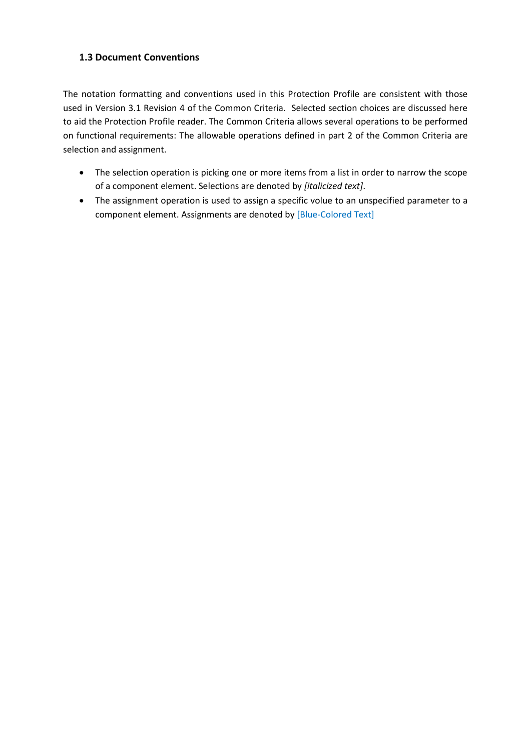### <span id="page-7-0"></span>**1.3 Document Conventions**

The notation formatting and conventions used in this Protection Profile are consistent with those used in Version 3.1 Revision 4 of the Common Criteria. Selected section choices are discussed here to aid the Protection Profile reader. The Common Criteria allows several operations to be performed on functional requirements: The allowable operations defined in part 2 of the Common Criteria are selection and assignment.

- The selection operation is picking one or more items from a list in order to narrow the scope of a component element. Selections are denoted by *[italicized text]*.
- The assignment operation is used to assign a specific volue to an unspecified parameter to a component element. Assignments are denoted by [Blue-Colored Text]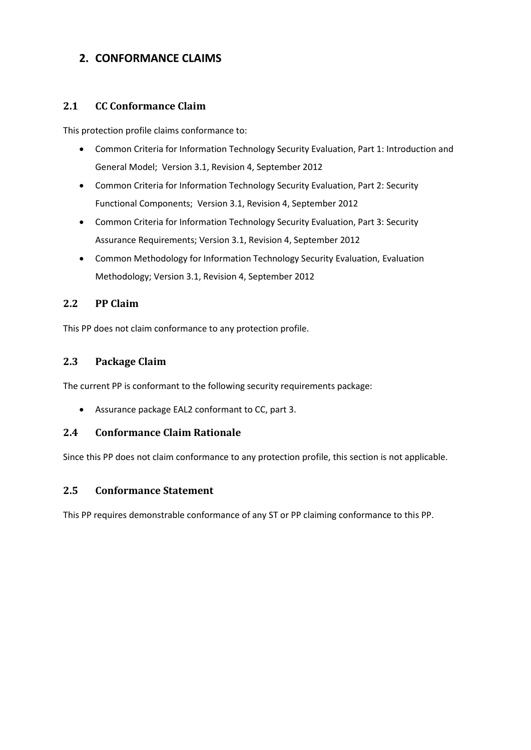## <span id="page-8-0"></span>**2. CONFORMANCE CLAIMS**

### <span id="page-8-1"></span>**2.1 CC Conformance Claim**

This protection profile claims conformance to:

- Common Criteria for Information Technology Security Evaluation, Part 1: Introduction and General Model; Version 3.1, Revision 4, September 2012
- Common Criteria for Information Technology Security Evaluation, Part 2: Security Functional Components; Version 3.1, Revision 4, September 2012
- Common Criteria for Information Technology Security Evaluation, Part 3: Security Assurance Requirements; Version 3.1, Revision 4, September 2012
- Common Methodology for Information Technology Security Evaluation, Evaluation Methodology; Version 3.1, Revision 4, September 2012

### <span id="page-8-2"></span>**2.2 PP Claim**

This PP does not claim conformance to any protection profile.

### <span id="page-8-3"></span>**2.3 Package Claim**

The current PP is conformant to the following security requirements package:

Assurance package EAL2 conformant to CC, part 3.

### <span id="page-8-4"></span>**2.4 Conformance Claim Rationale**

Since this PP does not claim conformance to any protection profile, this section is not applicable.

### <span id="page-8-5"></span>**2.5 Conformance Statement**

This PP requires demonstrable conformance of any ST or PP claiming conformance to this PP.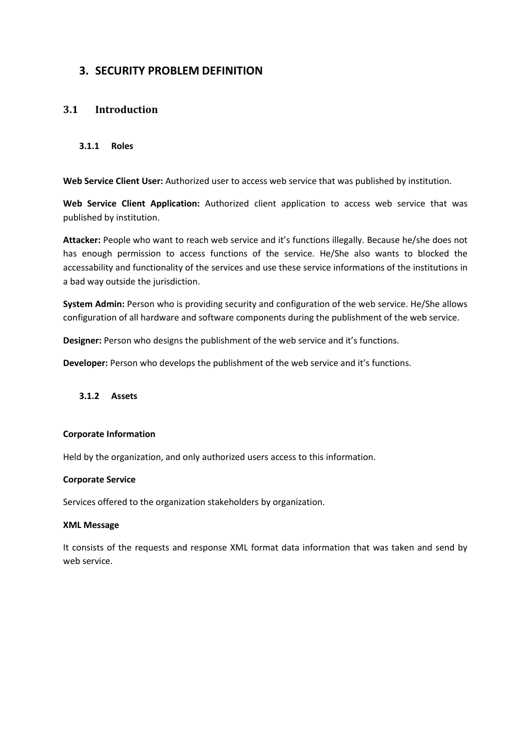## <span id="page-9-0"></span>**3. SECURITY PROBLEM DEFINITION**

### <span id="page-9-1"></span>**3.1 Introduction**

#### <span id="page-9-2"></span>**3.1.1 Roles**

**Web Service Client User:** Authorized user to access web service that was published by institution.

**Web Service Client Application:** Authorized client application to access web service that was published by institution.

**Attacker:** People who want to reach web service and it's functions illegally. Because he/she does not has enough permission to access functions of the service. He/She also wants to blocked the accessability and functionality of the services and use these service informations of the institutions in a bad way outside the jurisdiction.

**System Admin:** Person who is providing security and configuration of the web service. He/She allows configuration of all hardware and software components during the publishment of the web service.

**Designer:** Person who designs the publishment of the web service and it's functions.

**Developer:** Person who develops the publishment of the web service and it's functions.

#### <span id="page-9-3"></span>**3.1.2 Assets**

#### **Corporate Information**

Held by the organization, and only authorized users access to this information.

#### **Corporate Service**

Services offered to the organization stakeholders by organization.

#### **XML Message**

It consists of the requests and response XML format data information that was taken and send by web service.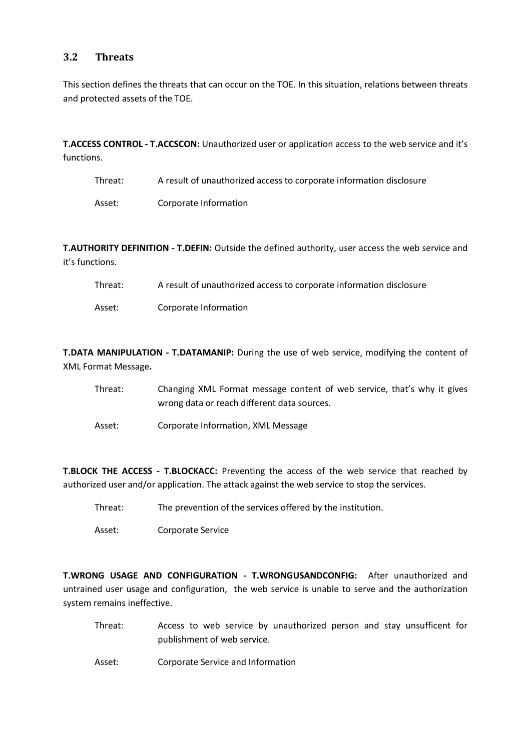### <span id="page-10-0"></span>**3.2 Threats**

This section defines the threats that can occur on the TOE. In this situation, relations between threats and protected assets of the TOE.

**T.ACCESS CONTROL - T.ACCSCON:** Unauthorized user or application access to the web service and it's functions.

| Threat: | A result of unauthorized access to corporate information disclosure |
|---------|---------------------------------------------------------------------|
|         |                                                                     |

Asset: Corporate Information

**T.AUTHORITY DEFINITION - T.DEFIN:** Outside the defined authority, user access the web service and it's functions.

- Threat: A result of unauthorized access to corporate information disclosure
- Asset: Corporate Information

**T.DATA MANIPULATION - T.DATAMANIP:** During the use of web service, modifying the content of XML Format Message**.**

- Threat: Changing XML Format message content of web service, that's why it gives wrong data or reach different data sources.
- Asset: Corporate Information, XML Message

**T.BLOCK THE ACCESS - T.BLOCKACC:** Preventing the access of the web service that reached by authorized user and/or application. The attack against the web service to stop the services.

- Threat: The prevention of the services offered by the institution.
- Asset: Corporate Service

**T.WRONG USAGE AND CONFIGURATION - T.WRONGUSANDCONFIG:** After unauthorized and untrained user usage and configuration, the web service is unable to serve and the authorization system remains ineffective.

- Threat: Access to web service by unauthorized person and stay unsufficent for publishment of web service.
- Asset: Corporate Service and Information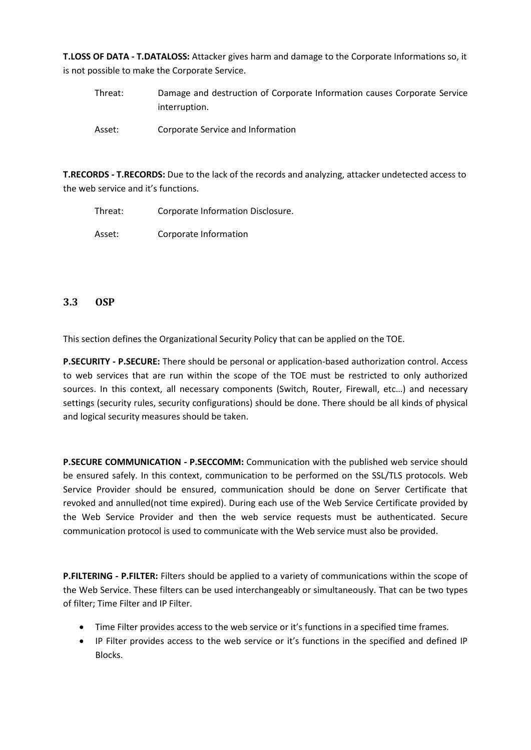**T.LOSS OF DATA - T.DATALOSS:** Attacker gives harm and damage to the Corporate Informations so, it is not possible to make the Corporate Service.

Threat: Damage and destruction of Corporate Information causes Corporate Service interruption. Asset: Corporate Service and Information

**T.RECORDS - T.RECORDS:** Due to the lack of the records and analyzing, attacker undetected access to the web service and it's functions.

Threat: Corporate Information Disclosure.

Asset: Corporate Information

### <span id="page-11-0"></span>**3.3 OSP**

This section defines the Organizational Security Policy that can be applied on the TOE.

**P.SECURITY - P.SECURE:** There should be personal or application-based authorization control. Access to web services that are run within the scope of the TOE must be restricted to only authorized sources. In this context, all necessary components (Switch, Router, Firewall, etc…) and necessary settings (security rules, security configurations) should be done. There should be all kinds of physical and logical security measures should be taken.

**P.SECURE COMMUNICATION - P.SECCOMM:** Communication with the published web service should be ensured safely. In this context, communication to be performed on the SSL/TLS protocols. Web Service Provider should be ensured, communication should be done on Server Certificate that revoked and annulled(not time expired). During each use of the Web Service Certificate provided by the Web Service Provider and then the web service requests must be authenticated. Secure communication protocol is used to communicate with the Web service must also be provided.

**P.FILTERING - P.FILTER:** Filters should be applied to a variety of communications within the scope of the Web Service. These filters can be used interchangeably or simultaneously. That can be two types of filter; Time Filter and IP Filter.

- Time Filter provides access to the web service or it's functions in a specified time frames.
- IP Filter provides access to the web service or it's functions in the specified and defined IP Blocks.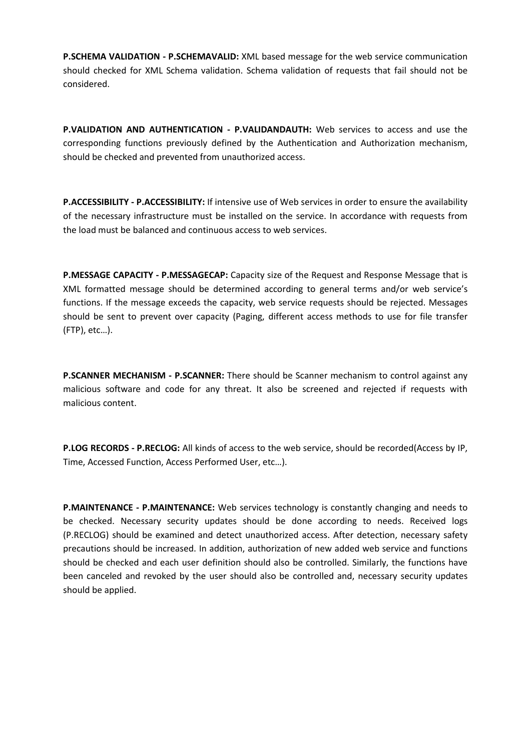**P.SCHEMA VALIDATION - P.SCHEMAVALID:** XML based message for the web service communication should checked for XML Schema validation. Schema validation of requests that fail should not be considered.

**P.VALIDATION AND AUTHENTICATION - P.VALIDANDAUTH:** Web services to access and use the corresponding functions previously defined by the Authentication and Authorization mechanism, should be checked and prevented from unauthorized access.

**P.ACCESSIBILITY - P.ACCESSIBILITY:** If intensive use of Web services in order to ensure the availability of the necessary infrastructure must be installed on the service. In accordance with requests from the load must be balanced and continuous access to web services.

**P.MESSAGE CAPACITY - P.MESSAGECAP:** Capacity size of the Request and Response Message that is XML formatted message should be determined according to general terms and/or web service's functions. If the message exceeds the capacity, web service requests should be rejected. Messages should be sent to prevent over capacity (Paging, different access methods to use for file transfer (FTP), etc…).

**P.SCANNER MECHANISM - P.SCANNER:** There should be Scanner mechanism to control against any malicious software and code for any threat. It also be screened and rejected if requests with malicious content.

**P.LOG RECORDS - P.RECLOG:** All kinds of access to the web service, should be recorded(Access by IP, Time, Accessed Function, Access Performed User, etc…).

**P.MAINTENANCE - P.MAINTENANCE:** Web services technology is constantly changing and needs to be checked. Necessary security updates should be done according to needs. Received logs (P.RECLOG) should be examined and detect unauthorized access. After detection, necessary safety precautions should be increased. In addition, authorization of new added web service and functions should be checked and each user definition should also be controlled. Similarly, the functions have been canceled and revoked by the user should also be controlled and, necessary security updates should be applied.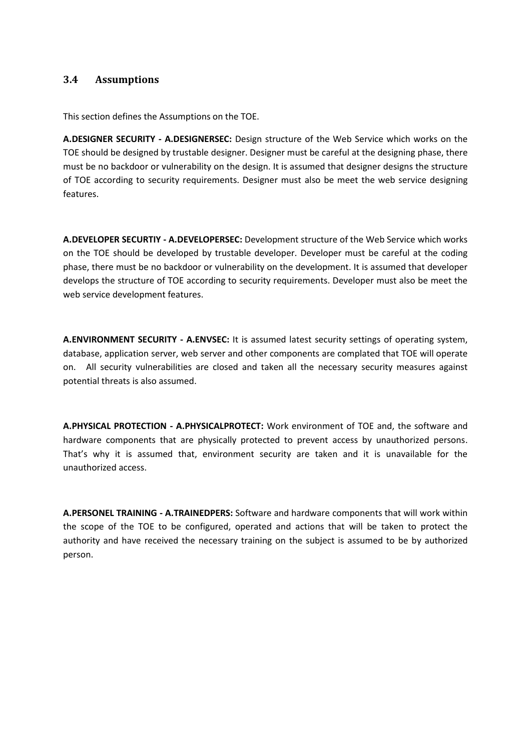### <span id="page-13-0"></span>**3.4 Assumptions**

This section defines the Assumptions on the TOE.

**A.DESIGNER SECURITY - A.DESIGNERSEC:** Design structure of the Web Service which works on the TOE should be designed by trustable designer. Designer must be careful at the designing phase, there must be no backdoor or vulnerability on the design. It is assumed that designer designs the structure of TOE according to security requirements. Designer must also be meet the web service designing features.

**A.DEVELOPER SECURTIY - A.DEVELOPERSEC:** Development structure of the Web Service which works on the TOE should be developed by trustable developer. Developer must be careful at the coding phase, there must be no backdoor or vulnerability on the development. It is assumed that developer develops the structure of TOE according to security requirements. Developer must also be meet the web service development features.

**A.ENVIRONMENT SECURITY - A.ENVSEC:** It is assumed latest security settings of operating system, database, application server, web server and other components are complated that TOE will operate on. All security vulnerabilities are closed and taken all the necessary security measures against potential threats is also assumed.

**A.PHYSICAL PROTECTION - A.PHYSICALPROTECT:** Work environment of TOE and, the software and hardware components that are physically protected to prevent access by unauthorized persons. That's why it is assumed that, environment security are taken and it is unavailable for the unauthorized access.

**A.PERSONEL TRAINING - A.TRAINEDPERS:** Software and hardware components that will work within the scope of the TOE to be configured, operated and actions that will be taken to protect the authority and have received the necessary training on the subject is assumed to be by authorized person.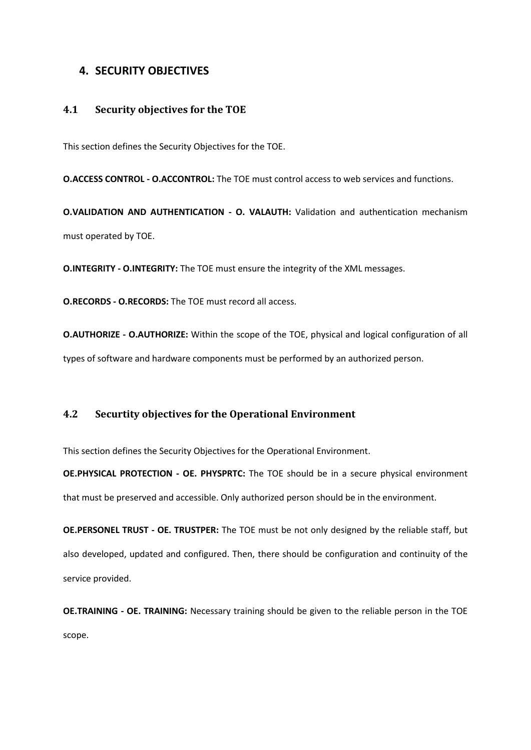### <span id="page-14-0"></span>**4. SECURITY OBJECTIVES**

#### <span id="page-14-1"></span>**4.1 Security objectives for the TOE**

This section defines the Security Objectives for the TOE.

**O.ACCESS CONTROL - O.ACCONTROL:** The TOE must control access to web services and functions.

**O.VALIDATION AND AUTHENTICATION - O. VALAUTH:** Validation and authentication mechanism must operated by TOE.

**O.INTEGRITY - O.INTEGRITY:** The TOE must ensure the integrity of the XML messages.

**O.RECORDS - O.RECORDS:** The TOE must record all access.

**O.AUTHORIZE - O.AUTHORIZE:** Within the scope of the TOE, physical and logical configuration of all types of software and hardware components must be performed by an authorized person.

### <span id="page-14-2"></span>**4.2 Securtity objectives for the Operational Environment**

This section defines the Security Objectives for the Operational Environment.

**OE.PHYSICAL PROTECTION - OE. PHYSPRTC:** The TOE should be in a secure physical environment that must be preserved and accessible. Only authorized person should be in the environment.

**OE.PERSONEL TRUST - OE. TRUSTPER:** The TOE must be not only designed by the reliable staff, but also developed, updated and configured. Then, there should be configuration and continuity of the service provided.

**OE.TRAINING - OE. TRAINING:** Necessary training should be given to the reliable person in the TOE scope.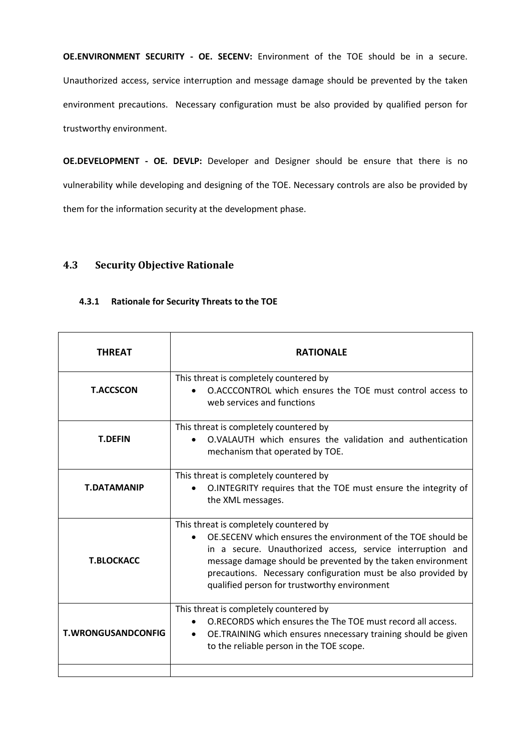**OE.ENVIRONMENT SECURITY - OE. SECENV:** Environment of the TOE should be in a secure. Unauthorized access, service interruption and message damage should be prevented by the taken environment precautions. Necessary configuration must be also provided by qualified person for trustworthy environment.

**OE.DEVELOPMENT - OE. DEVLP:** Developer and Designer should be ensure that there is no vulnerability while developing and designing of the TOE. Necessary controls are also be provided by them for the information security at the development phase.

### <span id="page-15-0"></span>**4.3 Security Objective Rationale**

#### <span id="page-15-1"></span>**4.3.1 Rationale for Security Threats to the TOE**

| THREAT                    | <b>RATIONALE</b>                                                                                                                                                                                                                                                                                                                                     |
|---------------------------|------------------------------------------------------------------------------------------------------------------------------------------------------------------------------------------------------------------------------------------------------------------------------------------------------------------------------------------------------|
| <b>T.ACCSCON</b>          | This threat is completely countered by<br>O.ACCCONTROL which ensures the TOE must control access to<br>web services and functions                                                                                                                                                                                                                    |
| <b>T.DEFIN</b>            | This threat is completely countered by<br>O.VALAUTH which ensures the validation and authentication<br>mechanism that operated by TOE.                                                                                                                                                                                                               |
| <b>T.DATAMANIP</b>        | This threat is completely countered by<br>O.INTEGRITY requires that the TOE must ensure the integrity of<br>the XML messages.                                                                                                                                                                                                                        |
| <b>T.BLOCKACC</b>         | This threat is completely countered by<br>OE.SECENV which ensures the environment of the TOE should be<br>in a secure. Unauthorized access, service interruption and<br>message damage should be prevented by the taken environment<br>precautions. Necessary configuration must be also provided by<br>qualified person for trustworthy environment |
| <b>T.WRONGUSANDCONFIG</b> | This threat is completely countered by<br>O.RECORDS which ensures the The TOE must record all access.<br>OE.TRAINING which ensures nnecessary training should be given<br>$\bullet$<br>to the reliable person in the TOE scope.                                                                                                                      |
|                           |                                                                                                                                                                                                                                                                                                                                                      |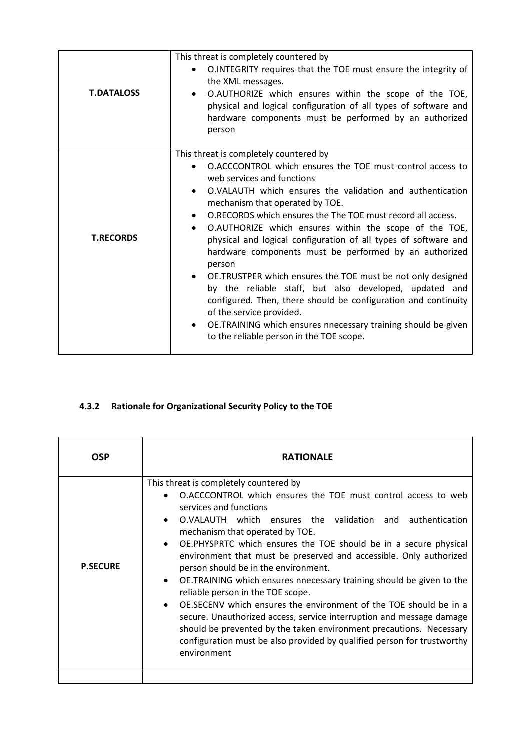| <b>T.DATALOSS</b> | This threat is completely countered by<br>O.INTEGRITY requires that the TOE must ensure the integrity of<br>the XML messages.<br>O.AUTHORIZE which ensures within the scope of the TOE,<br>physical and logical configuration of all types of software and<br>hardware components must be performed by an authorized<br>person                                                                                                                                                                                                                                                                                                                                                                                                                                                                                                                          |
|-------------------|---------------------------------------------------------------------------------------------------------------------------------------------------------------------------------------------------------------------------------------------------------------------------------------------------------------------------------------------------------------------------------------------------------------------------------------------------------------------------------------------------------------------------------------------------------------------------------------------------------------------------------------------------------------------------------------------------------------------------------------------------------------------------------------------------------------------------------------------------------|
| <b>T.RECORDS</b>  | This threat is completely countered by<br>O.ACCCONTROL which ensures the TOE must control access to<br>web services and functions<br>O.VALAUTH which ensures the validation and authentication<br>mechanism that operated by TOE.<br>O.RECORDS which ensures the The TOE must record all access.<br>O.AUTHORIZE which ensures within the scope of the TOE,<br>$\bullet$<br>physical and logical configuration of all types of software and<br>hardware components must be performed by an authorized<br>person<br>OE.TRUSTPER which ensures the TOE must be not only designed<br>by the reliable staff, but also developed, updated and<br>configured. Then, there should be configuration and continuity<br>of the service provided.<br>OE.TRAINING which ensures nnecessary training should be given<br>٠<br>to the reliable person in the TOE scope. |

## <span id="page-16-0"></span>**4.3.2 Rationale for Organizational Security Policy to the TOE**

| OSP             | <b>RATIONALE</b>                                                                                                                                                                                                                                                                                                                                                                                                                                                                                                                                                                                                                                                                                                                                                                                                                                                                                                |
|-----------------|-----------------------------------------------------------------------------------------------------------------------------------------------------------------------------------------------------------------------------------------------------------------------------------------------------------------------------------------------------------------------------------------------------------------------------------------------------------------------------------------------------------------------------------------------------------------------------------------------------------------------------------------------------------------------------------------------------------------------------------------------------------------------------------------------------------------------------------------------------------------------------------------------------------------|
| <b>P.SECURE</b> | This threat is completely countered by<br>O.ACCCONTROL which ensures the TOE must control access to web<br>$\bullet$<br>services and functions<br>O.VALAUTH which ensures the validation and authentication<br>$\bullet$<br>mechanism that operated by TOE.<br>OE.PHYSPRTC which ensures the TOE should be in a secure physical<br>$\bullet$<br>environment that must be preserved and accessible. Only authorized<br>person should be in the environment.<br>OE.TRAINING which ensures nnecessary training should be given to the<br>$\bullet$<br>reliable person in the TOE scope.<br>OE.SECENV which ensures the environment of the TOE should be in a<br>$\bullet$<br>secure. Unauthorized access, service interruption and message damage<br>should be prevented by the taken environment precautions. Necessary<br>configuration must be also provided by qualified person for trustworthy<br>environment |
|                 |                                                                                                                                                                                                                                                                                                                                                                                                                                                                                                                                                                                                                                                                                                                                                                                                                                                                                                                 |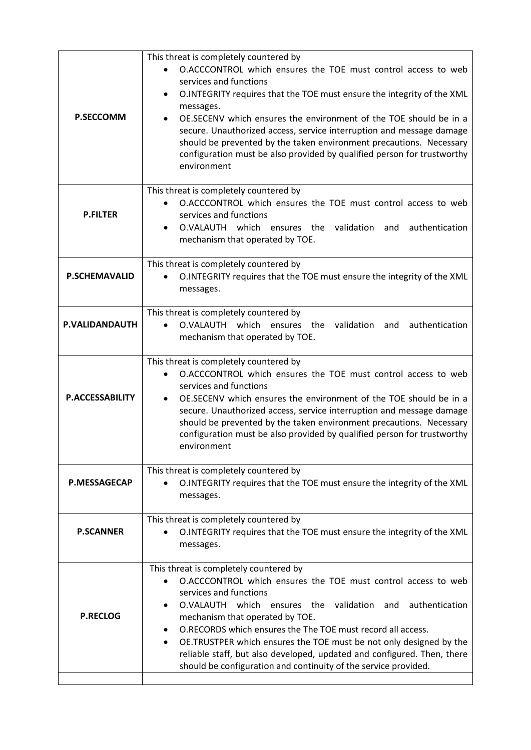| <b>P.SECCOMM</b>       | This threat is completely countered by<br>O.ACCCONTROL which ensures the TOE must control access to web<br>services and functions<br>O.INTEGRITY requires that the TOE must ensure the integrity of the XML<br>٠<br>messages.<br>OE.SECENV which ensures the environment of the TOE should be in a<br>secure. Unauthorized access, service interruption and message damage<br>should be prevented by the taken environment precautions. Necessary<br>configuration must be also provided by qualified person for trustworthy<br>environment  |
|------------------------|----------------------------------------------------------------------------------------------------------------------------------------------------------------------------------------------------------------------------------------------------------------------------------------------------------------------------------------------------------------------------------------------------------------------------------------------------------------------------------------------------------------------------------------------|
| <b>P.FILTER</b>        | This threat is completely countered by<br>O.ACCCONTROL which ensures the TOE must control access to web<br>services and functions<br>O.VALAUTH which ensures the<br>validation<br>authentication<br>and<br>mechanism that operated by TOE.                                                                                                                                                                                                                                                                                                   |
| <b>P.SCHEMAVALID</b>   | This threat is completely countered by<br>O.INTEGRITY requires that the TOE must ensure the integrity of the XML<br>$\bullet$<br>messages.                                                                                                                                                                                                                                                                                                                                                                                                   |
| P.VALIDANDAUTH         | This threat is completely countered by<br>O.VALAUTH which ensures the<br>validation<br>authentication<br>and<br>mechanism that operated by TOE.                                                                                                                                                                                                                                                                                                                                                                                              |
| <b>P.ACCESSABILITY</b> | This threat is completely countered by<br>O.ACCCONTROL which ensures the TOE must control access to web<br>services and functions<br>OE. SECENV which ensures the environment of the TOE should be in a<br>$\bullet$<br>secure. Unauthorized access, service interruption and message damage<br>should be prevented by the taken environment precautions. Necessary<br>configuration must be also provided by qualified person for trustworthy<br>environment                                                                                |
| <b>P.MESSAGECAP</b>    | This threat is completely countered by<br>O.INTEGRITY requires that the TOE must ensure the integrity of the XML<br>messages.                                                                                                                                                                                                                                                                                                                                                                                                                |
| <b>P.SCANNER</b>       | This threat is completely countered by<br>O.INTEGRITY requires that the TOE must ensure the integrity of the XML<br>messages.                                                                                                                                                                                                                                                                                                                                                                                                                |
| <b>P.RECLOG</b>        | This threat is completely countered by<br>O.ACCCONTROL which ensures the TOE must control access to web<br>$\bullet$<br>services and functions<br>O.VALAUTH which ensures the validation<br>authentication<br>and<br>mechanism that operated by TOE.<br>O.RECORDS which ensures the The TOE must record all access.<br>٠<br>OE.TRUSTPER which ensures the TOE must be not only designed by the<br>reliable staff, but also developed, updated and configured. Then, there<br>should be configuration and continuity of the service provided. |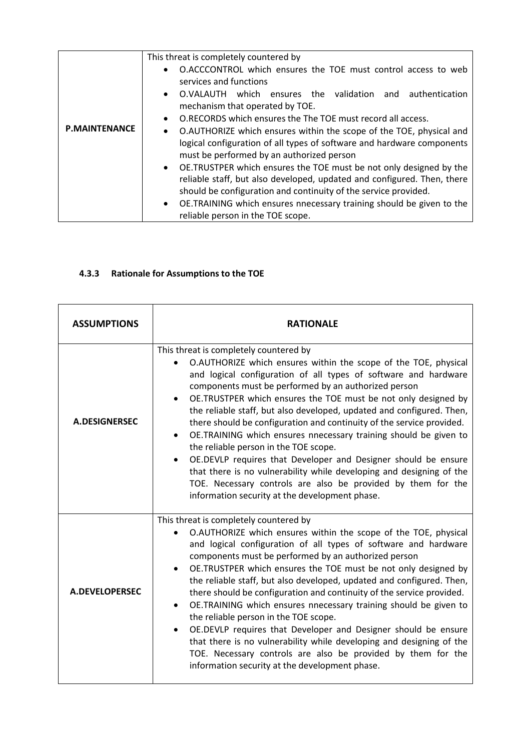| <b>P.MAINTENANCE</b> | This threat is completely countered by<br>O.ACCCONTROL which ensures the TOE must control access to web<br>$\bullet$<br>services and functions<br>O.VALAUTH which ensures the validation and authentication<br>$\bullet$<br>mechanism that operated by TOE.<br>O.RECORDS which ensures the The TOE must record all access.<br>$\bullet$<br>O.AUTHORIZE which ensures within the scope of the TOE, physical and<br>$\bullet$<br>logical configuration of all types of software and hardware components<br>must be performed by an authorized person<br>• OE.TRUSTPER which ensures the TOE must be not only designed by the<br>reliable staff, but also developed, updated and configured. Then, there |
|----------------------|-------------------------------------------------------------------------------------------------------------------------------------------------------------------------------------------------------------------------------------------------------------------------------------------------------------------------------------------------------------------------------------------------------------------------------------------------------------------------------------------------------------------------------------------------------------------------------------------------------------------------------------------------------------------------------------------------------|
|                      | should be configuration and continuity of the service provided.<br>• OE.TRAINING which ensures nnecessary training should be given to the                                                                                                                                                                                                                                                                                                                                                                                                                                                                                                                                                             |
|                      | reliable person in the TOE scope.                                                                                                                                                                                                                                                                                                                                                                                                                                                                                                                                                                                                                                                                     |

## <span id="page-18-0"></span>**4.3.3 Rationale for Assumptions to the TOE**

| <b>ASSUMPTIONS</b>   | <b>RATIONALE</b>                                                                                                                                                                                                                                                                                                                                                                                                                                                                                                                                                                                                                                                                                                                                                                                                                               |
|----------------------|------------------------------------------------------------------------------------------------------------------------------------------------------------------------------------------------------------------------------------------------------------------------------------------------------------------------------------------------------------------------------------------------------------------------------------------------------------------------------------------------------------------------------------------------------------------------------------------------------------------------------------------------------------------------------------------------------------------------------------------------------------------------------------------------------------------------------------------------|
| <b>A.DESIGNERSEC</b> | This threat is completely countered by<br>O.AUTHORIZE which ensures within the scope of the TOE, physical<br>and logical configuration of all types of software and hardware<br>components must be performed by an authorized person<br>OE.TRUSTPER which ensures the TOE must be not only designed by<br>the reliable staff, but also developed, updated and configured. Then,<br>there should be configuration and continuity of the service provided.<br>OE.TRAINING which ensures nnecessary training should be given to<br>$\bullet$<br>the reliable person in the TOE scope.<br>OE.DEVLP requires that Developer and Designer should be ensure<br>that there is no vulnerability while developing and designing of the<br>TOE. Necessary controls are also be provided by them for the<br>information security at the development phase. |
| A.DEVELOPERSEC       | This threat is completely countered by<br>O.AUTHORIZE which ensures within the scope of the TOE, physical<br>and logical configuration of all types of software and hardware<br>components must be performed by an authorized person<br>OE.TRUSTPER which ensures the TOE must be not only designed by<br>$\bullet$<br>the reliable staff, but also developed, updated and configured. Then,<br>there should be configuration and continuity of the service provided.<br>OE.TRAINING which ensures nnecessary training should be given to<br>the reliable person in the TOE scope.<br>OE.DEVLP requires that Developer and Designer should be ensure<br>that there is no vulnerability while developing and designing of the<br>TOE. Necessary controls are also be provided by them for the<br>information security at the development phase. |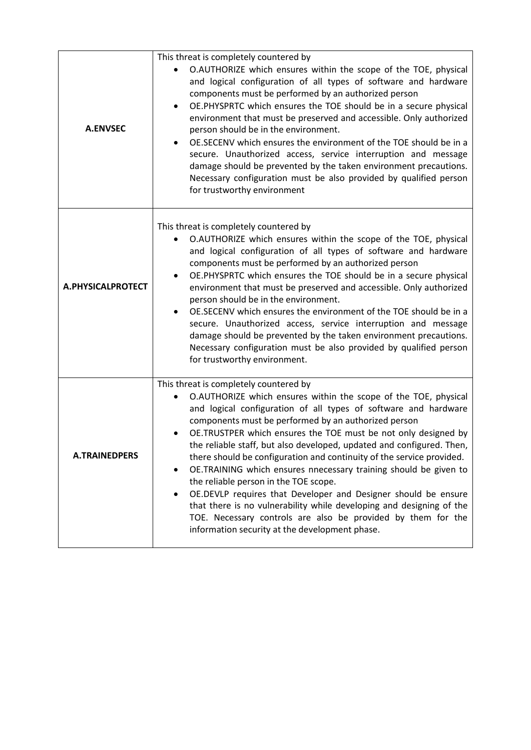| <b>A.ENVSEC</b>      | This threat is completely countered by<br>O.AUTHORIZE which ensures within the scope of the TOE, physical<br>and logical configuration of all types of software and hardware<br>components must be performed by an authorized person<br>OE.PHYSPRTC which ensures the TOE should be in a secure physical<br>٠<br>environment that must be preserved and accessible. Only authorized<br>person should be in the environment.<br>OE.SECENV which ensures the environment of the TOE should be in a<br>secure. Unauthorized access, service interruption and message<br>damage should be prevented by the taken environment precautions.<br>Necessary configuration must be also provided by qualified person<br>for trustworthy environment                                                                                                   |
|----------------------|---------------------------------------------------------------------------------------------------------------------------------------------------------------------------------------------------------------------------------------------------------------------------------------------------------------------------------------------------------------------------------------------------------------------------------------------------------------------------------------------------------------------------------------------------------------------------------------------------------------------------------------------------------------------------------------------------------------------------------------------------------------------------------------------------------------------------------------------|
| A.PHYSICALPROTECT    | This threat is completely countered by<br>O.AUTHORIZE which ensures within the scope of the TOE, physical<br>and logical configuration of all types of software and hardware<br>components must be performed by an authorized person<br>OE.PHYSPRTC which ensures the TOE should be in a secure physical<br>environment that must be preserved and accessible. Only authorized<br>person should be in the environment.<br>OE.SECENV which ensures the environment of the TOE should be in a<br>secure. Unauthorized access, service interruption and message<br>damage should be prevented by the taken environment precautions.<br>Necessary configuration must be also provided by qualified person<br>for trustworthy environment.                                                                                                       |
| <b>A.TRAINEDPERS</b> | This threat is completely countered by<br>O.AUTHORIZE which ensures within the scope of the TOE, physical<br>and logical configuration of all types of software and hardware<br>components must be performed by an authorized person<br>OE.TRUSTPER which ensures the TOE must be not only designed by<br>the reliable staff, but also developed, updated and configured. Then,<br>there should be configuration and continuity of the service provided.<br>OE.TRAINING which ensures nnecessary training should be given to<br>٠<br>the reliable person in the TOE scope.<br>OE.DEVLP requires that Developer and Designer should be ensure<br>٠<br>that there is no vulnerability while developing and designing of the<br>TOE. Necessary controls are also be provided by them for the<br>information security at the development phase. |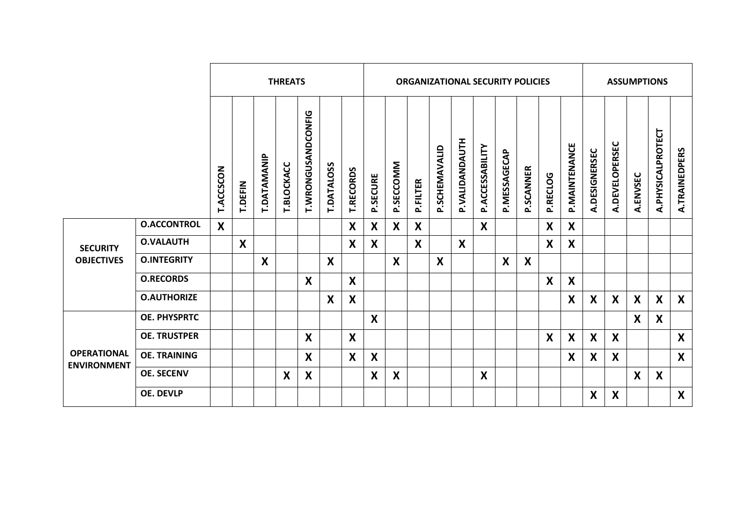|                                          | <b>THREATS</b>      |                  |         |             |                           |                    |                           | <b>ORGANIZATIONAL SECURITY POLICIES</b> |                           |                           |          |               |                  |                  |              |                           |                  | <b>ASSUMPTIONS</b>        |               |                |                           |                   |                  |
|------------------------------------------|---------------------|------------------|---------|-------------|---------------------------|--------------------|---------------------------|-----------------------------------------|---------------------------|---------------------------|----------|---------------|------------------|------------------|--------------|---------------------------|------------------|---------------------------|---------------|----------------|---------------------------|-------------------|------------------|
|                                          |                     | <b>T.ACCSCON</b> | T.DEFIN | T.DATAMANIP | T.BLOCKACC                | T.WRONGUSANDCONFIG | <b>T.DATALOSS</b>         | <b>T.RECORDS</b>                        | P.SECURE                  | P.SECCOMM                 | P.FILTER | P.SCHEMAVALID | P.VALIDANDAUTH   | P.ACCESSABILITY  | P.MESSAGECAP | P.SCANNER                 | P.RECLOG         | P. MAINTENANCE            | A.DESIGNERSEC | A.DEVELOPERSEC | A.ENVSEC                  | A.PHYSICALPROTECT | A.TRAINEDPERS    |
|                                          | <b>O.ACCONTROL</b>  | $\boldsymbol{X}$ |         |             |                           |                    |                           | $\boldsymbol{X}$                        | X                         | $\boldsymbol{X}$          | X        |               |                  | $\boldsymbol{X}$ |              |                           | $\boldsymbol{X}$ | X                         |               |                |                           |                   |                  |
| <b>SECURITY</b>                          | <b>O.VALAUTH</b>    |                  | X       |             |                           |                    |                           | X                                       | X                         |                           | X        |               | $\boldsymbol{X}$ |                  |              |                           | X                | $\boldsymbol{X}$          |               |                |                           |                   |                  |
| <b>OBJECTIVES</b>                        | <b>O.INTEGRITY</b>  |                  |         | X           |                           |                    | $\boldsymbol{\mathsf{X}}$ |                                         |                           | $\boldsymbol{\mathsf{X}}$ |          | X             |                  |                  | X            | $\boldsymbol{\mathsf{X}}$ |                  |                           |               |                |                           |                   |                  |
|                                          | <b>O.RECORDS</b>    |                  |         |             |                           | $\boldsymbol{X}$   |                           | $\boldsymbol{\mathsf{X}}$               |                           |                           |          |               |                  |                  |              |                           | $\boldsymbol{X}$ | $\boldsymbol{\mathsf{X}}$ |               |                |                           |                   |                  |
|                                          | <b>O.AUTHORIZE</b>  |                  |         |             |                           |                    | X                         | X                                       |                           |                           |          |               |                  |                  |              |                           |                  | $\boldsymbol{X}$          | X             | X              | $\boldsymbol{X}$          | $\mathsf{X}$      | $\boldsymbol{X}$ |
|                                          | <b>OE. PHYSPRTC</b> |                  |         |             |                           |                    |                           |                                         | X                         |                           |          |               |                  |                  |              |                           |                  |                           |               |                | $\boldsymbol{\mathsf{X}}$ | X                 |                  |
|                                          | <b>OE. TRUSTPER</b> |                  |         |             |                           | X                  |                           | $\boldsymbol{\mathsf{X}}$               |                           |                           |          |               |                  |                  |              |                           | X                | X                         | X             | X              |                           |                   | X                |
| <b>OPERATIONAL</b><br><b>ENVIRONMENT</b> | <b>OE. TRAINING</b> |                  |         |             |                           | $\boldsymbol{X}$   |                           | $\boldsymbol{\mathsf{X}}$               | $\boldsymbol{X}$          |                           |          |               |                  |                  |              |                           |                  | X                         | X             | X              |                           |                   | $\boldsymbol{X}$ |
|                                          | <b>OE. SECENV</b>   |                  |         |             | $\boldsymbol{\mathsf{X}}$ | $\boldsymbol{X}$   |                           |                                         | $\boldsymbol{\mathsf{X}}$ | $\boldsymbol{\mathsf{X}}$ |          |               |                  | $\boldsymbol{X}$ |              |                           |                  |                           |               |                | $\boldsymbol{X}$          | X                 |                  |
|                                          | <b>OE. DEVLP</b>    |                  |         |             |                           |                    |                           |                                         |                           |                           |          |               |                  |                  |              |                           |                  |                           | X             | X              |                           |                   | X                |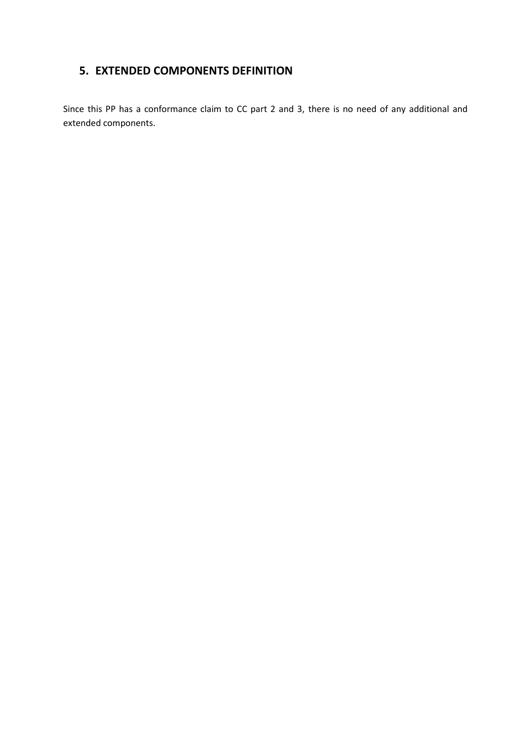# <span id="page-21-0"></span>**5. EXTENDED COMPONENTS DEFINITION**

Since this PP has a conformance claim to CC part 2 and 3, there is no need of any additional and extended components.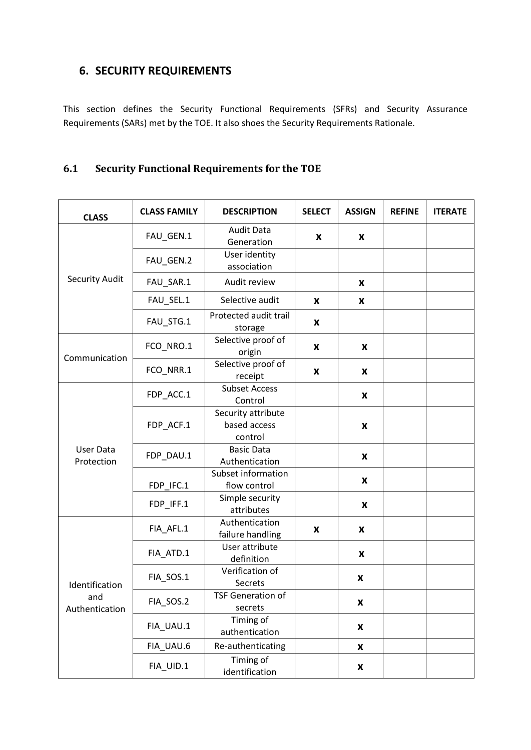## <span id="page-22-0"></span>**6. SECURITY REQUIREMENTS**

This section defines the Security Functional Requirements (SFRs) and Security Assurance Requirements (SARs) met by the TOE. It also shoes the Security Requirements Rationale.

## <span id="page-22-1"></span>**6.1 Security Functional Requirements for the TOE**

| <b>CLASS</b>                            | <b>CLASS FAMILY</b> | <b>DESCRIPTION</b>                            | <b>SELECT</b> | <b>ASSIGN</b>      | <b>REFINE</b> | <b>ITERATE</b> |
|-----------------------------------------|---------------------|-----------------------------------------------|---------------|--------------------|---------------|----------------|
|                                         | FAU_GEN.1           | <b>Audit Data</b><br>Generation               | X             | X                  |               |                |
|                                         | FAU_GEN.2           | User identity<br>association                  |               |                    |               |                |
| <b>Security Audit</b>                   | FAU_SAR.1           | Audit review                                  |               | X                  |               |                |
|                                         | FAU_SEL.1           | Selective audit                               | X             | X                  |               |                |
|                                         | FAU_STG.1           | Protected audit trail<br>storage              | X             |                    |               |                |
|                                         | FCO_NRO.1           | Selective proof of<br>origin                  | X             | X                  |               |                |
| Communication                           | FCO_NRR.1           | Selective proof of<br>receipt                 | X             | X                  |               |                |
| User Data<br>Protection                 | FDP_ACC.1           | <b>Subset Access</b><br>Control               |               | X                  |               |                |
|                                         | FDP_ACF.1           | Security attribute<br>based access<br>control |               | $\pmb{\mathsf{x}}$ |               |                |
|                                         | FDP_DAU.1           | <b>Basic Data</b><br>Authentication           |               | X                  |               |                |
|                                         | FDP_IFC.1           | Subset information<br>flow control            |               | X                  |               |                |
|                                         | FDP_IFF.1           | Simple security<br>attributes                 |               | X                  |               |                |
| Identification<br>and<br>Authentication | FIA_AFL.1           | Authentication<br>failure handling            | X             | $\pmb{\mathsf{X}}$ |               |                |
|                                         | FIA_ATD.1           | User attribute<br>definition                  |               | X                  |               |                |
|                                         | FIA_SOS.1           | Verification of<br>Secrets                    |               | X                  |               |                |
|                                         | FIA_SOS.2           | <b>TSF Generation of</b><br>secrets           |               | $\pmb{\mathsf{X}}$ |               |                |
|                                         | FIA_UAU.1           | Timing of<br>authentication                   |               | X                  |               |                |
|                                         | FIA_UAU.6           | Re-authenticating                             |               | X                  |               |                |
|                                         | FIA_UID.1           | Timing of<br>identification                   |               | X                  |               |                |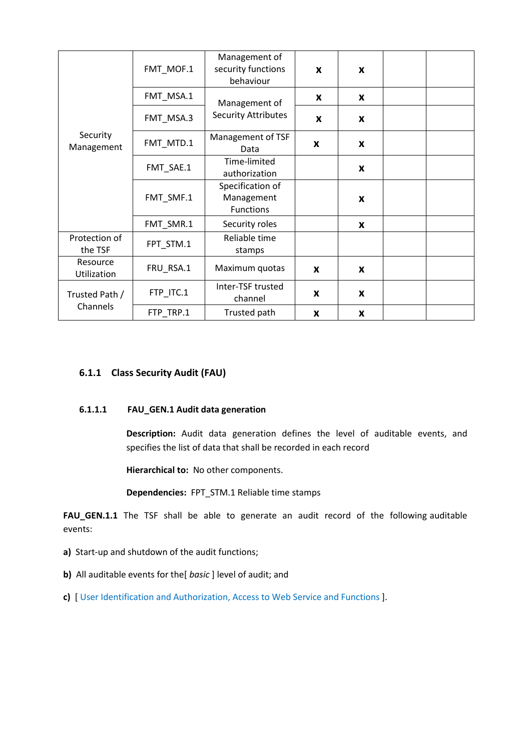|                            | FMT_MOF.1 | Management of<br>security functions<br>behaviour   | X            | X              |  |
|----------------------------|-----------|----------------------------------------------------|--------------|----------------|--|
|                            | FMT_MSA.1 | Management of                                      | X            | X              |  |
| Security<br>Management     | FMT_MSA.3 | <b>Security Attributes</b>                         | $\mathbf{x}$ | X              |  |
|                            | FMT_MTD.1 | Management of TSF<br>Data                          | X            | X              |  |
|                            | FMT_SAE.1 | Time-limited<br>authorization                      |              | X              |  |
|                            | FMT_SMF.1 | Specification of<br>Management<br><b>Functions</b> |              | X              |  |
|                            | FMT_SMR.1 | Security roles                                     |              | X              |  |
| Protection of<br>the TSF   | FPT_STM.1 | Reliable time<br>stamps                            |              |                |  |
| Resource<br>Utilization    | FRU_RSA.1 | Maximum quotas                                     | X            | X              |  |
| Trusted Path /<br>Channels | FTP_ITC.1 | Inter-TSF trusted<br>channel                       | X            | X              |  |
|                            | FTP_TRP.1 | Trusted path                                       | X            | $\pmb{\times}$ |  |

### <span id="page-23-0"></span>**6.1.1 Class Security Audit (FAU)**

#### **6.1.1.1 FAU\_GEN.1 Audit data generation**

**Description:** Audit data generation defines the level of auditable events, and specifies the list of data that shall be recorded in each record

**Hierarchical to:** No other components.

**Dependencies:** FPT\_STM.1 Reliable time stamps

**FAU\_GEN.1.1** The TSF shall be able to generate an audit record of the following auditable events:

- **a)** Start-up and shutdown of the audit functions;
- **b)** All auditable events for the[ *basic* ] level of audit; and
- **c)** [ User Identification and Authorization, Access to Web Service and Functions ].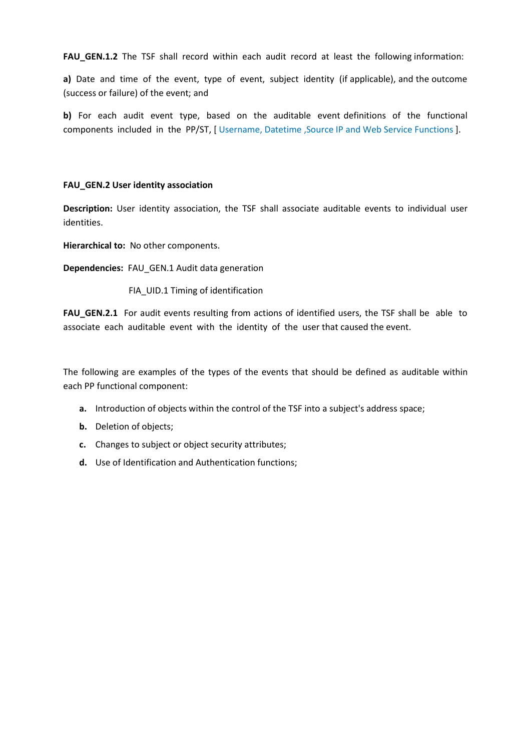**FAU GEN.1.2** The TSF shall record within each audit record at least the following information:

**a)** Date and time of the event, type of event, subject identity (if applicable), and the outcome (success or failure) of the event; and

**b)** For each audit event type, based on the auditable event definitions of the functional components included in the PP/ST, [ Username, Datetime ,Source IP and Web Service Functions ].

#### **FAU\_GEN.2 User identity association**

**Description:** User identity association, the TSF shall associate auditable events to individual user identities.

**Hierarchical to:** No other components.

**Dependencies:** FAU\_GEN.1 Audit data generation

FIA\_UID.1 Timing of identification

**FAU\_GEN.2.1** For audit events resulting from actions of identified users, the TSF shall be able to associate each auditable event with the identity of the user that caused the event.

The following are examples of the types of the events that should be defined as auditable within each PP functional component:

- **a.** Introduction of objects within the control of the TSF into a subject's address space;
- **b.** Deletion of objects;
- **c.** Changes to subject or object security attributes;
- **d.** Use of Identification and Authentication functions;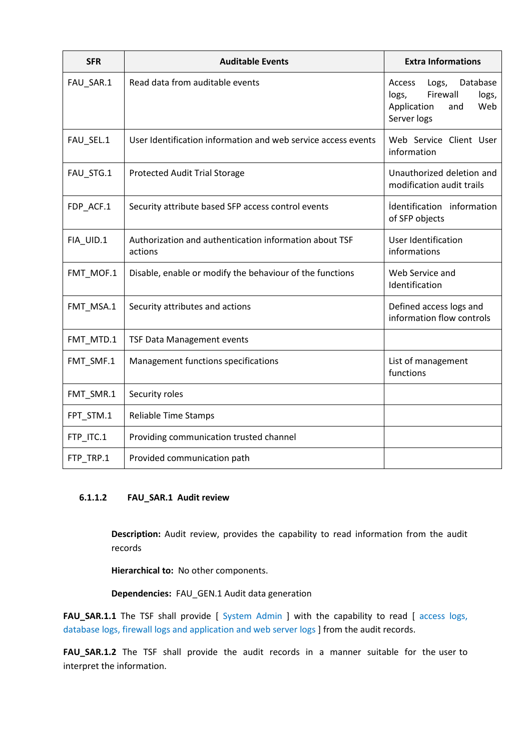| <b>SFR</b> | <b>Auditable Events</b>                                           | <b>Extra Informations</b>                                                                             |  |
|------------|-------------------------------------------------------------------|-------------------------------------------------------------------------------------------------------|--|
| FAU_SAR.1  | Read data from auditable events                                   | Logs,<br>Database<br>Access<br>Firewall<br>logs,<br>logs,<br>Application<br>Web<br>and<br>Server logs |  |
| FAU_SEL.1  | User Identification information and web service access events     | Web Service Client User<br>information                                                                |  |
| FAU_STG.1  | <b>Protected Audit Trial Storage</b>                              | Unauthorized deletion and<br>modification audit trails                                                |  |
| FDP ACF.1  | Security attribute based SFP access control events                | identification information<br>of SFP objects                                                          |  |
| FIA_UID.1  | Authorization and authentication information about TSF<br>actions | <b>User Identification</b><br>informations                                                            |  |
| FMT_MOF.1  | Disable, enable or modify the behaviour of the functions          | Web Service and<br>Identification                                                                     |  |
| FMT_MSA.1  | Security attributes and actions                                   | Defined access logs and<br>information flow controls                                                  |  |
| FMT_MTD.1  | <b>TSF Data Management events</b>                                 |                                                                                                       |  |
| FMT_SMF.1  | Management functions specifications                               | List of management<br>functions                                                                       |  |
| FMT_SMR.1  | Security roles                                                    |                                                                                                       |  |
| FPT_STM.1  | Reliable Time Stamps                                              |                                                                                                       |  |
| FTP_ITC.1  | Providing communication trusted channel                           |                                                                                                       |  |
| FTP_TRP.1  | Provided communication path                                       |                                                                                                       |  |

#### **6.1.1.2 FAU\_SAR.1 Audit review**

**Description:** Audit review, provides the capability to read information from the audit records

**Hierarchical to:** No other components.

**Dependencies:** FAU\_GEN.1 Audit data generation

FAU\_SAR.1.1 The TSF shall provide [ System Admin ] with the capability to read [ access logs, database logs, firewall logs and application and web server logs ] from the audit records.

**FAU\_SAR.1.2** The TSF shall provide the audit records in a manner suitable for the user to interpret the information.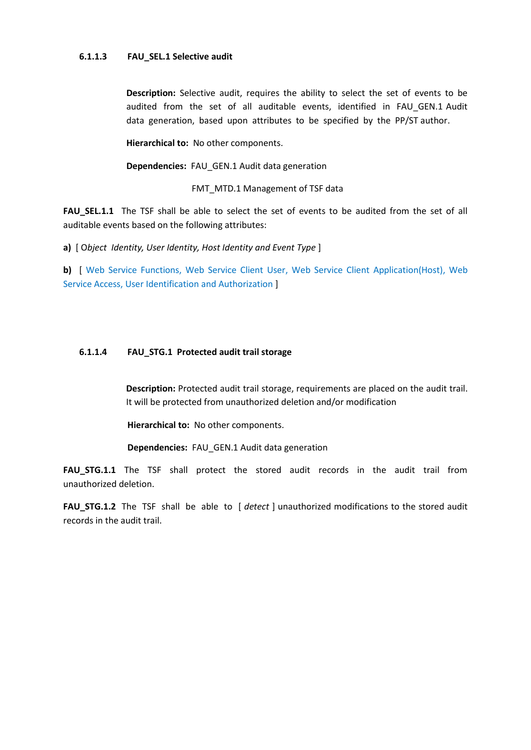#### **6.1.1.3 FAU\_SEL.1 Selective audit**

**Description:** Selective audit, requires the ability to select the set of events to be audited from the set of all auditable events, identified in FAU\_GEN.1 Audit data generation, based upon attributes to be specified by the PP/ST author.

**Hierarchical to:** No other components.

**Dependencies:** FAU\_GEN.1 Audit data generation

FMT\_MTD.1 Management of TSF data

**FAU\_SEL.1.1** The TSF shall be able to select the set of events to be audited from the set of all auditable events based on the following attributes:

**a)** [ O*bject Identity, User Identity, Host Identity and Event Type* ]

**b)** [ Web Service Functions, Web Service Client User, Web Service Client Application(Host), Web Service Access, User Identification and Authorization ]

#### **6.1.1.4 FAU\_STG.1 Protected audit trail storage**

**Description:** Protected audit trail storage, requirements are placed on the audit trail. It will be protected from unauthorized deletion and/or modification

**Hierarchical to:** No other components.

**Dependencies:** FAU\_GEN.1 Audit data generation

**FAU\_STG.1.1** The TSF shall protect the stored audit records in the audit trail from unauthorized deletion.

**FAU STG.1.2** The TSF shall be able to [ *detect* ] unauthorized modifications to the stored audit records in the audit trail.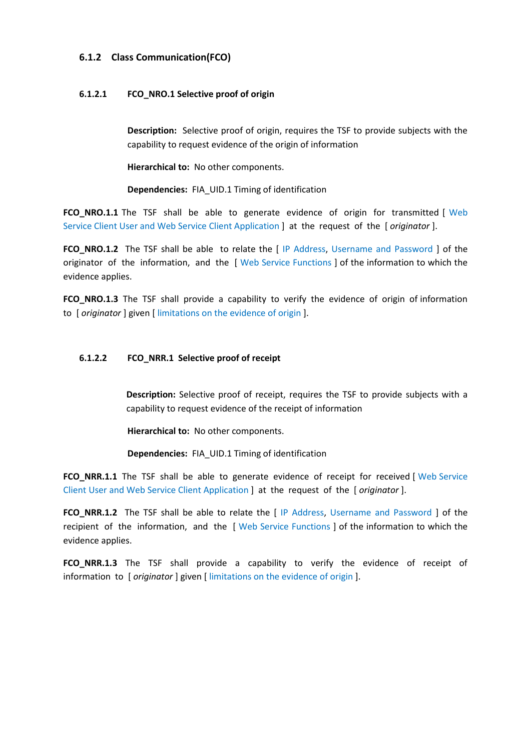#### <span id="page-27-0"></span>**6.1.2 Class Communication(FCO)**

#### **6.1.2.1 FCO\_NRO.1 Selective proof of origin**

**Description:** Selective proof of origin, requires the TSF to provide subjects with the capability to request evidence of the origin of information

**Hierarchical to:** No other components.

**Dependencies:** FIA\_UID.1 Timing of identification

**FCO\_NRO.1.1** The TSF shall be able to generate evidence of origin for transmitted [ Web Service Client User and Web Service Client Application ] at the request of the [ *originator* ].

**FCO\_NRO.1.2** The TSF shall be able to relate the [ IP Address, Username and Password ] of the originator of the information, and the [ Web Service Functions ] of the information to which the evidence applies.

**FCO\_NRO.1.3** The TSF shall provide a capability to verify the evidence of origin of information to [ *originator* ] given [ limitations on the evidence of origin ].

#### **6.1.2.2 FCO\_NRR.1 Selective proof of receipt**

**Description:** Selective proof of receipt, requires the TSF to provide subjects with a capability to request evidence of the receipt of information

**Hierarchical to:** No other components.

**Dependencies:** FIA\_UID.1 Timing of identification

**FCO\_NRR.1.1** The TSF shall be able to generate evidence of receipt for received [ Web Service Client User and Web Service Client Application ] at the request of the [ *originator* ].

**FCO\_NRR.1.2** The TSF shall be able to relate the [ IP Address, Username and Password ] of the recipient of the information, and the [ Web Service Functions ] of the information to which the evidence applies.

**FCO\_NRR.1.3** The TSF shall provide a capability to verify the evidence of receipt of information to [ *originator* ] given [ limitations on the evidence of origin ].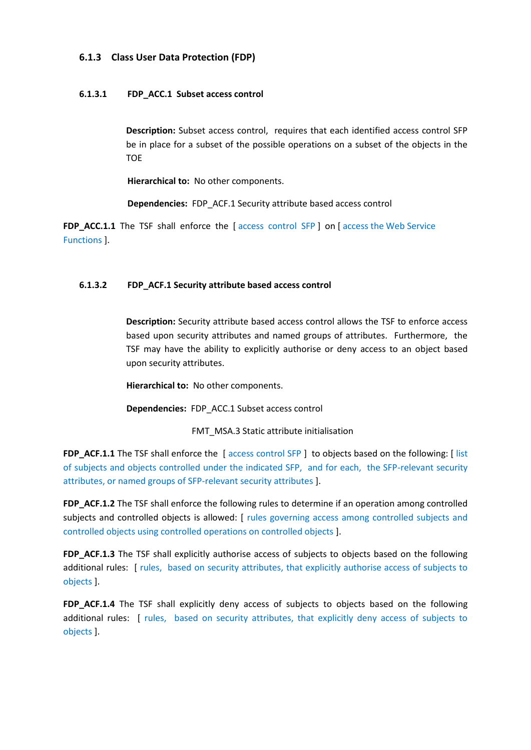### <span id="page-28-0"></span>**6.1.3 Class User Data Protection (FDP)**

### **6.1.3.1 FDP\_ACC.1 Subset access control**

**Description:** Subset access control, requires that each identified access control SFP be in place for a subset of the possible operations on a subset of the objects in the **TOE** 

**Hierarchical to:** No other components.

**Dependencies:** FDP\_ACF.1 Security attribute based access control

**FDP\_ACC.1.1** The TSF shall enforce the [ access control SFP ] on [ access the Web Service Functions ].

#### **6.1.3.2 FDP\_ACF.1 Security attribute based access control**

**Description:** Security attribute based access control allows the TSF to enforce access based upon security attributes and named groups of attributes. Furthermore, the TSF may have the ability to explicitly authorise or deny access to an object based upon security attributes.

**Hierarchical to:** No other components.

**Dependencies:** FDP\_ACC.1 Subset access control

FMT\_MSA.3 Static attribute initialisation

**FDP\_ACF.1.1** The TSF shall enforce the [ access control SFP ] to objects based on the following: [ list of subjects and objects controlled under the indicated SFP, and for each, the SFP-relevant security attributes, or named groups of SFP-relevant security attributes ].

**FDP\_ACF.1.2** The TSF shall enforce the following rules to determine if an operation among controlled subjects and controlled objects is allowed: [ rules governing access among controlled subjects and controlled objects using controlled operations on controlled objects ].

**FDP\_ACF.1.3** The TSF shall explicitly authorise access of subjects to objects based on the following additional rules: [ rules, based on security attributes, that explicitly authorise access of subjects to objects ].

**FDP\_ACF.1.4** The TSF shall explicitly deny access of subjects to objects based on the following additional rules: [ rules, based on security attributes, that explicitly deny access of subjects to objects ].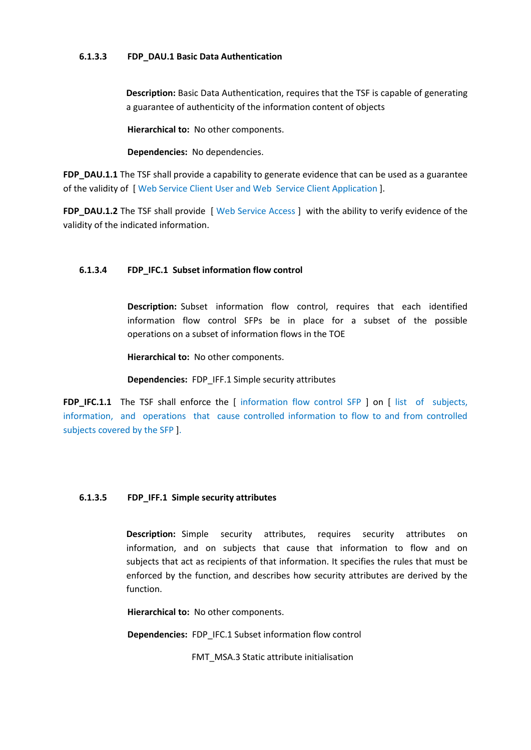#### **6.1.3.3 FDP\_DAU.1 Basic Data Authentication**

**Description:** Basic Data Authentication, requires that the TSF is capable of generating a guarantee of authenticity of the information content of objects

**Hierarchical to:** No other components.

**Dependencies:** No dependencies.

**FDP\_DAU.1.1** The TSF shall provide a capability to generate evidence that can be used as a guarantee of the validity of [ Web Service Client User and Web Service Client Application ].

**FDP\_DAU.1.2** The TSF shall provide [ Web Service Access ] with the ability to verify evidence of the validity of the indicated information.

### **6.1.3.4 FDP\_IFC.1 Subset information flow control**

**Description:** Subset information flow control, requires that each identified information flow control SFPs be in place for a subset of the possible operations on a subset of information flows in the TOE

**Hierarchical to:** No other components.

**Dependencies:** FDP\_IFF.1 Simple security attributes

**FDP\_IFC.1.1** The TSF shall enforce the [ information flow control SFP ] on [ list of subjects, information, and operations that cause controlled information to flow to and from controlled subjects covered by the SFP ].

### **6.1.3.5 FDP\_IFF.1 Simple security attributes**

**Description:** Simple security attributes, requires security attributes on information, and on subjects that cause that information to flow and on subjects that act as recipients of that information. It specifies the rules that must be enforced by the function, and describes how security attributes are derived by the function.

**Hierarchical to:** No other components.

**Dependencies:** FDP\_IFC.1 Subset information flow control

FMT\_MSA.3 Static attribute initialisation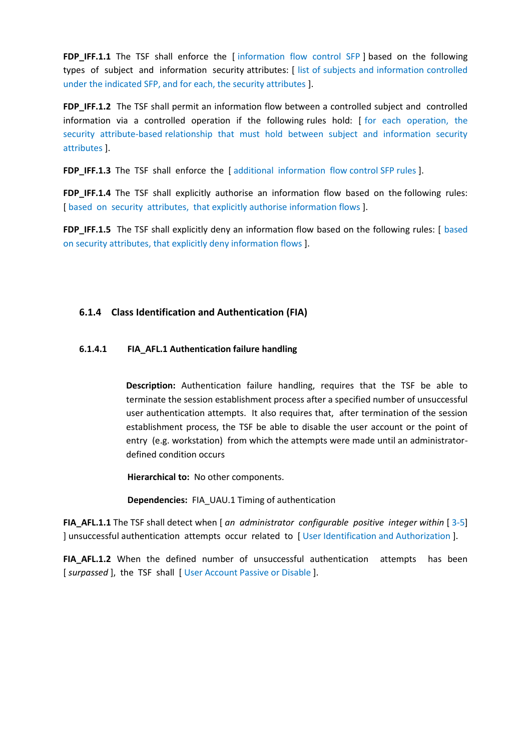**FDP\_IFF.1.1** The TSF shall enforce the [ information flow control SFP ] based on the following types of subject and information security attributes: [ list of subjects and information controlled under the indicated SFP, and for each, the security attributes ].

**FDP\_IFF.1.2** The TSF shall permit an information flow between a controlled subject and controlled information via a controlled operation if the following rules hold: [ for each operation, the security attribute-based relationship that must hold between subject and information security attributes ].

**FDP\_IFF.1.3** The TSF shall enforce the [ additional information flow control SFP rules ].

**FDP\_IFF.1.4** The TSF shall explicitly authorise an information flow based on the following rules: [based on security attributes, that explicitly authorise information flows].

**FDP\_IFF.1.5** The TSF shall explicitly deny an information flow based on the following rules: [ based on security attributes, that explicitly deny information flows ].

### <span id="page-30-0"></span>**6.1.4 Class Identification and Authentication (FIA)**

#### **6.1.4.1 FIA\_AFL.1 Authentication failure handling**

**Description:** Authentication failure handling, requires that the TSF be able to terminate the session establishment process after a specified number of unsuccessful user authentication attempts. It also requires that, after termination of the session establishment process, the TSF be able to disable the user account or the point of entry (e.g. workstation) from which the attempts were made until an administratordefined condition occurs

**Hierarchical to:** No other components.

**Dependencies:** FIA\_UAU.1 Timing of authentication

**FIA\_AFL.1.1** The TSF shall detect when [ *an\_administrator\_configurable\_positive\_integer within* [ 3-5] ] unsuccessful authentication attempts occur related to [ User Identification and Authorization ].

**FIA\_AFL.1.2** When the defined number of unsuccessful authentication attempts has been [ *surpassed* ], the TSF shall [ User Account Passive or Disable ].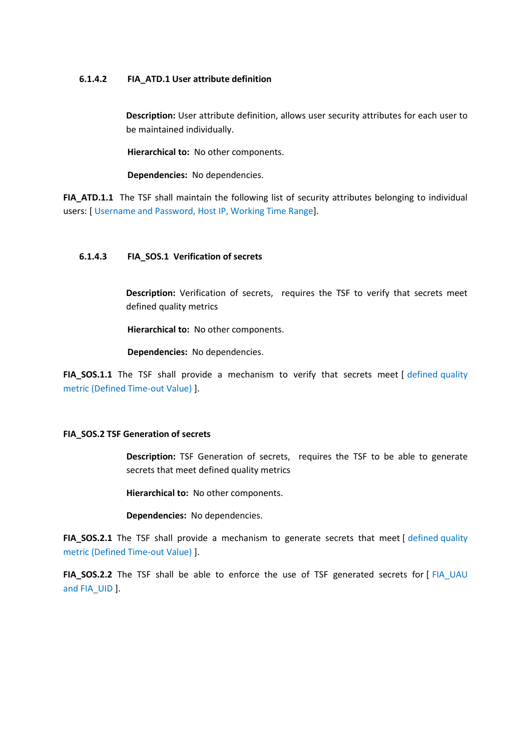#### **6.1.4.2 FIA\_ATD.1 User attribute definition**

**Description:** User attribute definition, allows user security attributes for each user to be maintained individually.

**Hierarchical to:** No other components.

**Dependencies:** No dependencies.

**FIA ATD.1.1** The TSF shall maintain the following list of security attributes belonging to individual users: [ Username and Password, Host IP, Working Time Range].

#### **6.1.4.3 FIA\_SOS.1 Verification of secrets**

**Description:** Verification of secrets, requires the TSF to verify that secrets meet defined quality metrics

**Hierarchical to:** No other components.

**Dependencies:** No dependencies.

FIA\_SOS.1.1 The TSF shall provide a mechanism to verify that secrets meet [ defined quality metric (Defined Time-out Value) ].

#### **FIA\_SOS.2 TSF Generation of secrets**

**Description:** TSF Generation of secrets, requires the TSF to be able to generate secrets that meet defined quality metrics

**Hierarchical to:** No other components.

**Dependencies:** No dependencies.

FIA\_SOS.2.1 The TSF shall provide a mechanism to generate secrets that meet [ defined quality metric (Defined Time-out Value) ].

**FIA\_SOS.2.2** The TSF shall be able to enforce the use of TSF generated secrets for [ FIA\_UAU and FIA\_UID ].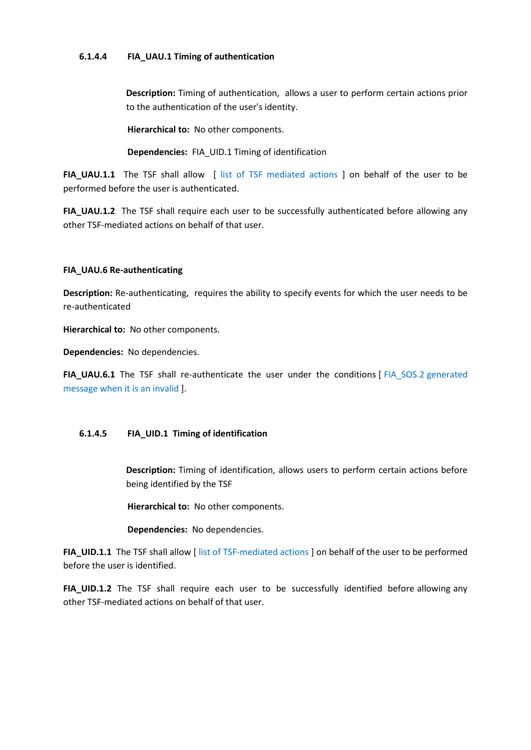#### **6.1.4.4 FIA\_UAU.1 Timing of authentication**

**Description:** Timing of authentication, allows a user to perform certain actions prior to the authentication of the user's identity.

**Hierarchical to:** No other components.

**Dependencies:** FIA\_UID.1 Timing of identification

**FIA UAU.1.1** The TSF shall allow [ list of TSF mediated actions ] on behalf of the user to be performed before the user is authenticated.

**FIA\_UAU.1.2** The TSF shall require each user to be successfully authenticated before allowing any other TSF-mediated actions on behalf of that user.

#### **FIA\_UAU.6 Re-authenticating**

**Description:** Re-authenticating, requires the ability to specify events for which the user needs to be re-authenticated

**Hierarchical to:** No other components.

**Dependencies:** No dependencies.

**FIA\_UAU.6.1** The TSF shall re-authenticate the user under the conditions [ FIA\_SOS.2 generated message when it is an invalid ].

### **6.1.4.5 FIA\_UID.1 Timing of identification**

**Description:** Timing of identification, allows users to perform certain actions before being identified by the TSF

**Hierarchical to:** No other components.

**Dependencies:** No dependencies.

**FIA\_UID.1.1** The TSF shall allow [ list of TSF-mediated actions ] on behalf of the user to be performed before the user is identified.

**FIA\_UID.1.2** The TSF shall require each user to be successfully identified before allowing any other TSF-mediated actions on behalf of that user.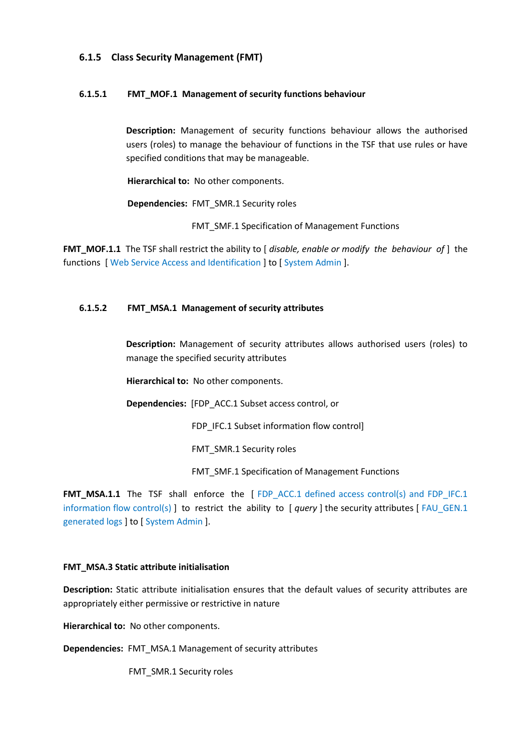#### <span id="page-33-0"></span>**6.1.5 Class Security Management (FMT)**

#### **6.1.5.1 FMT\_MOF.1 Management of security functions behaviour**

**Description:** Management of security functions behaviour allows the authorised users (roles) to manage the behaviour of functions in the TSF that use rules or have specified conditions that may be manageable.

**Hierarchical to:** No other components.

**Dependencies:** FMT\_SMR.1 Security roles

FMT\_SMF.1 Specification of Management Functions

**FMT\_MOF.1.1** The TSF shall restrict the ability to [*disable, enable or modify the behaviour of* ] the functions [ Web Service Access and Identification ] to [ System Admin ].

#### **6.1.5.2 FMT\_MSA.1 Management of security attributes**

**Description:** Management of security attributes allows authorised users (roles) to manage the specified security attributes

**Hierarchical to:** No other components.

**Dependencies:** [FDP\_ACC.1 Subset access control, or

FDP\_IFC.1 Subset information flow control]

FMT\_SMR.1 Security roles

FMT\_SMF.1 Specification of Management Functions

**FMT\_MSA.1.1** The TSF shall enforce the [ FDP\_ACC.1 defined access control(s) and FDP\_IFC.1 information flow control(s) ] to restrict the ability to [ *query* ] the security attributes [ FAU\_GEN.1 generated logs ] to [ System Admin ].

#### **FMT\_MSA.3 Static attribute initialisation**

**Description:** Static attribute initialisation ensures that the default values of security attributes are appropriately either permissive or restrictive in nature

**Hierarchical to:** No other components.

**Dependencies:** FMT\_MSA.1 Management of security attributes

FMT\_SMR.1 Security roles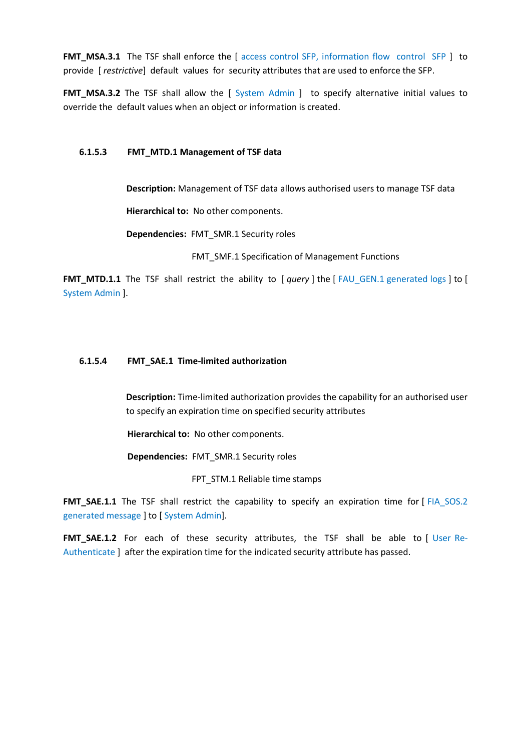**FMT\_MSA.3.1** The TSF shall enforce the [ access control SFP, information flow control SFP ] to provide [ *restrictive*] default values for security attributes that are used to enforce the SFP.

**FMT\_MSA.3.2** The TSF shall allow the [ System Admin ] to specify alternative initial values to override the default values when an object or information is created.

#### **6.1.5.3 FMT\_MTD.1 Management of TSF data**

**Description:** Management of TSF data allows authorised users to manage TSF data

**Hierarchical to:** No other components.

**Dependencies:** FMT\_SMR.1 Security roles

FMT\_SMF.1 Specification of Management Functions

**FMT\_MTD.1.1** The TSF shall restrict the ability to [ *query* ] the [ FAU GEN.1 generated logs ] to [ System Admin ].

#### **6.1.5.4 FMT\_SAE.1 Time-limited authorization**

**Description:** Time-limited authorization provides the capability for an authorised user to specify an expiration time on specified security attributes

**Hierarchical to:** No other components.

**Dependencies:** FMT\_SMR.1 Security roles

FPT\_STM.1 Reliable time stamps

FMT\_SAE.1.1 The TSF shall restrict the capability to specify an expiration time for [FIA\_SOS.2 generated message ] to [ System Admin].

**FMT\_SAE.1.2** For each of these security attributes, the TSF shall be able to [ User Re-Authenticate ] after the expiration time for the indicated security attribute has passed.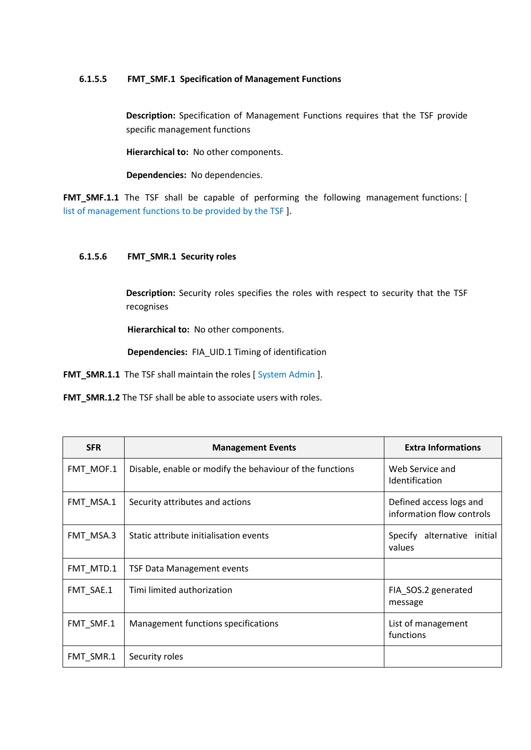#### **6.1.5.5 FMT\_SMF.1 Specification of Management Functions**

**Description:** Specification of Management Functions requires that the TSF provide specific management functions

**Hierarchical to:** No other components.

**Dependencies:** No dependencies.

**FMT\_SMF.1.1** The TSF shall be capable of performing the following management functions: [ list of management functions to be provided by the TSF ].

#### **6.1.5.6 FMT\_SMR.1 Security roles**

**Description:** Security roles specifies the roles with respect to security that the TSF recognises

**Hierarchical to:** No other components.

**Dependencies:** FIA\_UID.1 Timing of identification

FMT\_SMR.1.1 The TSF shall maintain the roles [System Admin ].

**FMT\_SMR.1.2** The TSF shall be able to associate users with roles.

| <b>SFR</b> | <b>Management Events</b>                                 | <b>Extra Informations</b>                            |
|------------|----------------------------------------------------------|------------------------------------------------------|
| FMT_MOF.1  | Disable, enable or modify the behaviour of the functions | Web Service and<br><b>Identification</b>             |
| FMT MSA.1  | Security attributes and actions                          | Defined access logs and<br>information flow controls |
| FMT MSA.3  | Static attribute initialisation events                   | Specify alternative initial<br>values                |
| FMT MTD.1  | TSF Data Management events                               |                                                      |
| FMT_SAE.1  | Timi limited authorization                               | FIA_SOS.2 generated<br>message                       |
| FMT_SMF.1  | Management functions specifications                      | List of management<br>functions                      |
| FMT SMR.1  | Security roles                                           |                                                      |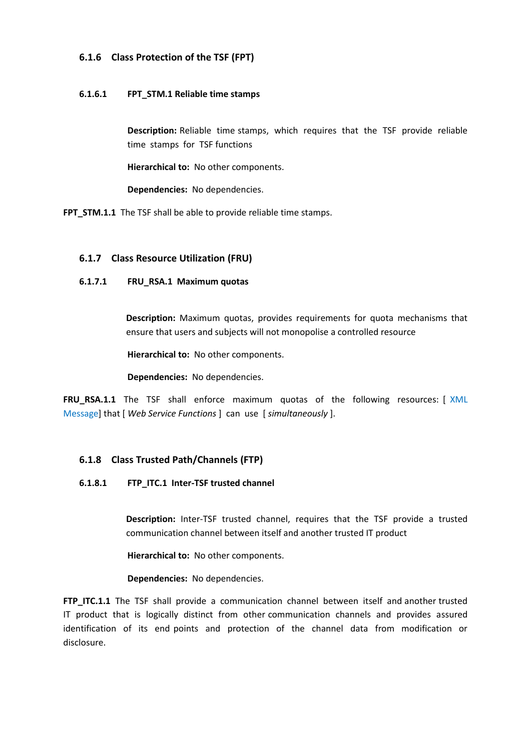### <span id="page-36-0"></span>**6.1.6 Class Protection of the TSF (FPT)**

#### **6.1.6.1 FPT\_STM.1 Reliable time stamps**

**Description:** Reliable time stamps, which requires that the TSF provide reliable time stamps for TSF functions

**Hierarchical to:** No other components.

**Dependencies:** No dependencies.

**FPT\_STM.1.1** The TSF shall be able to provide reliable time stamps.

#### <span id="page-36-1"></span>**6.1.7 Class Resource Utilization (FRU)**

#### **6.1.7.1 FRU\_RSA.1 Maximum quotas**

**Description:** Maximum quotas, provides requirements for quota mechanisms that ensure that users and subjects will not monopolise a controlled resource

**Hierarchical to:** No other components.

**Dependencies:** No dependencies.

**FRU\_RSA.1.1** The TSF shall enforce maximum quotas of the following resources: [ XML Message] that [ *Web Service Functions* ] can use [ *simultaneously* ].

### <span id="page-36-2"></span>**6.1.8 Class Trusted Path/Channels (FTP)**

#### **6.1.8.1 FTP\_ITC.1 Inter-TSF trusted channel**

**Description:** Inter-TSF trusted channel, requires that the TSF provide a trusted communication channel between itself and another trusted IT product

**Hierarchical to:** No other components.

**Dependencies:** No dependencies.

**FTP\_ITC.1.1** The TSF shall provide a communication channel between itself and another trusted IT product that is logically distinct from other communication channels and provides assured identification of its end points and protection of the channel data from modification or disclosure.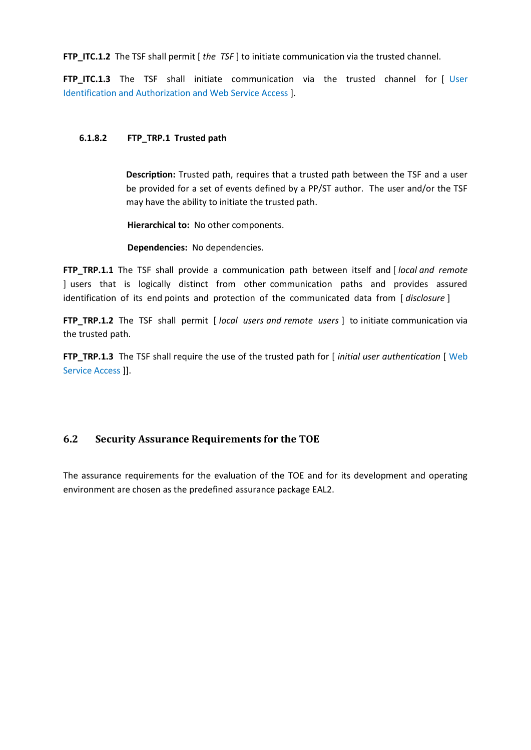**FTP ITC.1.2** The TSF shall permit [ *the TSF* ] to initiate communication via the trusted channel.

**FTP ITC.1.3** The TSF shall initiate communication via the trusted channel for [ User Identification and Authorization and Web Service Access ].

#### **6.1.8.2 FTP\_TRP.1 Trusted path**

**Description:** Trusted path, requires that a trusted path between the TSF and a user be provided for a set of events defined by a PP/ST author. The user and/or the TSF may have the ability to initiate the trusted path.

**Hierarchical to:** No other components.

**Dependencies:** No dependencies.

**FTP\_TRP.1.1** The TSF shall provide a communication path between itself and [ *local and remote* ] users that is logically distinct from other communication paths and provides assured identification of its end points and protection of the communicated data from [ *disclosure* ]

**FTP\_TRP.1.2** The TSF shall permit [ *local users and remote users* ] to initiate communication via the trusted path.

**FTP\_TRP.1.3** The TSF shall require the use of the trusted path for [*initial user authentication* [ Web Service Access ]].

### <span id="page-37-0"></span>**6.2 Security Assurance Requirements for the TOE**

The assurance requirements for the evaluation of the TOE and for its development and operating environment are chosen as the predefined assurance package EAL2.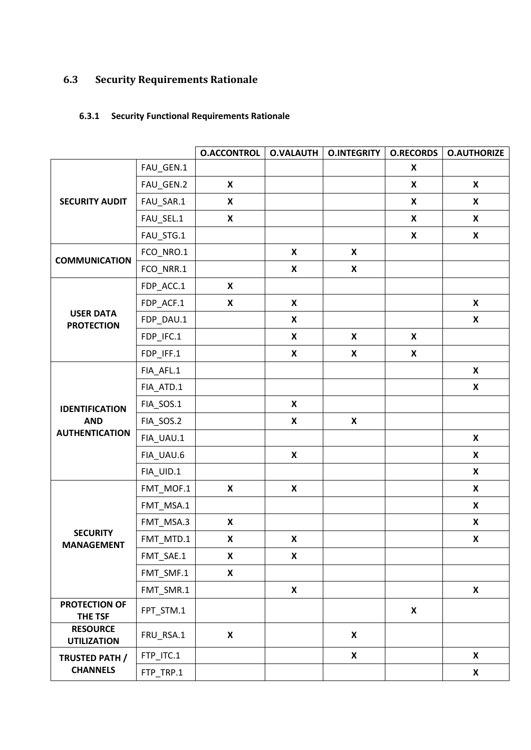# <span id="page-38-0"></span>**6.3 Security Requirements Rationale**

## <span id="page-38-1"></span>**6.3.1 Security Functional Requirements Rationale**

|                                       |             | <b>O.ACCONTROL</b>        | <b>O.VALAUTH</b>          | <b>O.INTEGRITY</b> | <b>O.RECORDS</b>          | <b>O.AUTHORIZE</b>        |
|---------------------------------------|-------------|---------------------------|---------------------------|--------------------|---------------------------|---------------------------|
| <b>SECURITY AUDIT</b>                 | FAU_GEN.1   |                           |                           |                    | X                         |                           |
|                                       | FAU_GEN.2   | X                         |                           |                    | X                         | X                         |
|                                       | FAU_SAR.1   | X                         |                           |                    | $\boldsymbol{\mathsf{X}}$ | X                         |
|                                       | FAU_SEL.1   | X                         |                           |                    | $\boldsymbol{\mathsf{x}}$ | X                         |
|                                       | FAU_STG.1   |                           |                           |                    | $\pmb{\mathsf{X}}$        | X                         |
| <b>COMMUNICATION</b>                  | FCO_NRO.1   |                           | $\boldsymbol{\mathsf{X}}$ | X                  |                           |                           |
|                                       | FCO_NRR.1   |                           | $\pmb{\mathsf{X}}$        | X                  |                           |                           |
|                                       | FDP_ACC.1   | X                         |                           |                    |                           |                           |
|                                       | FDP_ACF.1   | X                         | $\boldsymbol{\mathsf{X}}$ |                    |                           | X                         |
| <b>USER DATA</b><br><b>PROTECTION</b> | FDP_DAU.1   |                           | $\pmb{\mathsf{X}}$        |                    |                           | $\boldsymbol{\mathsf{X}}$ |
|                                       | FDP_IFC.1   |                           | $\pmb{\mathsf{X}}$        | X                  | $\pmb{\mathsf{X}}$        |                           |
|                                       | FDP_IFF.1   |                           | $\pmb{\mathsf{x}}$        | X                  | $\pmb{\mathsf{X}}$        |                           |
|                                       | FIA_AFL.1   |                           |                           |                    |                           | X                         |
|                                       | FIA_ATD.1   |                           |                           |                    |                           | X                         |
| <b>IDENTIFICATION</b>                 | FIA_SOS.1   |                           | $\boldsymbol{\mathsf{X}}$ |                    |                           |                           |
| <b>AND</b>                            | FIA_SOS.2   |                           | $\pmb{\mathsf{X}}$        | X                  |                           |                           |
| <b>AUTHENTICATION</b>                 | FIA_UAU.1   |                           |                           |                    |                           | $\mathbf x$               |
|                                       | FIA_UAU.6   |                           | $\boldsymbol{\mathsf{X}}$ |                    |                           | X                         |
|                                       | FIA_UID.1   |                           |                           |                    |                           | X                         |
|                                       | $FMT_MOF.1$ | X                         | $\pmb{\mathsf{X}}$        |                    |                           | X                         |
|                                       | FMT_MSA.1   |                           |                           |                    |                           | X                         |
|                                       | FMT_MSA.3   | X                         |                           |                    |                           | X                         |
| <b>SECURITY</b><br><b>MANAGEMENT</b>  | FMT MTD.1   | X                         | $\pmb{\mathsf{X}}$        |                    |                           | X                         |
|                                       | FMT_SAE.1   | X                         | $\boldsymbol{\mathsf{X}}$ |                    |                           |                           |
|                                       | FMT_SMF.1   | X                         |                           |                    |                           |                           |
|                                       | FMT_SMR.1   |                           | $\boldsymbol{\mathsf{X}}$ |                    |                           | X                         |
| PROTECTION OF<br>THE TSF              | FPT_STM.1   |                           |                           |                    | $\pmb{\mathsf{X}}$        |                           |
| <b>RESOURCE</b><br><b>UTILIZATION</b> | FRU_RSA.1   | $\boldsymbol{\mathsf{X}}$ |                           | $\mathsf{X}$       |                           |                           |
| TRUSTED PATH /                        | FTP_ITC.1   |                           |                           | $\mathsf{X}$       |                           | $\mathsf{X}$              |
| <b>CHANNELS</b>                       | FTP_TRP.1   |                           |                           |                    |                           | X                         |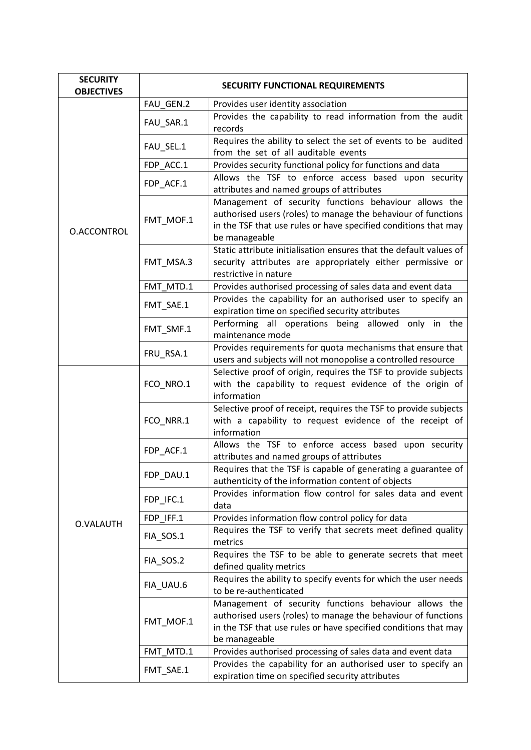| <b>SECURITY</b><br><b>OBJECTIVES</b> | SECURITY FUNCTIONAL REQUIREMENTS |                                                                                                                                                                                                            |  |  |  |
|--------------------------------------|----------------------------------|------------------------------------------------------------------------------------------------------------------------------------------------------------------------------------------------------------|--|--|--|
|                                      | FAU GEN.2                        | Provides user identity association                                                                                                                                                                         |  |  |  |
|                                      | FAU_SAR.1                        | Provides the capability to read information from the audit<br>records                                                                                                                                      |  |  |  |
|                                      | FAU_SEL.1                        | Requires the ability to select the set of events to be audited<br>from the set of all auditable events                                                                                                     |  |  |  |
|                                      | FDP_ACC.1                        | Provides security functional policy for functions and data                                                                                                                                                 |  |  |  |
|                                      | FDP_ACF.1                        | Allows the TSF to enforce access based upon security<br>attributes and named groups of attributes                                                                                                          |  |  |  |
| O.ACCONTROL                          | FMT_MOF.1                        | Management of security functions behaviour allows the<br>authorised users (roles) to manage the behaviour of functions<br>in the TSF that use rules or have specified conditions that may<br>be manageable |  |  |  |
|                                      | FMT_MSA.3                        | Static attribute initialisation ensures that the default values of<br>security attributes are appropriately either permissive or<br>restrictive in nature                                                  |  |  |  |
|                                      | FMT MTD.1                        | Provides authorised processing of sales data and event data                                                                                                                                                |  |  |  |
|                                      | FMT_SAE.1                        | Provides the capability for an authorised user to specify an<br>expiration time on specified security attributes                                                                                           |  |  |  |
|                                      | FMT_SMF.1                        | Performing all operations being allowed only in the<br>maintenance mode                                                                                                                                    |  |  |  |
|                                      | FRU_RSA.1                        | Provides requirements for quota mechanisms that ensure that<br>users and subjects will not monopolise a controlled resource                                                                                |  |  |  |
|                                      | FCO_NRO.1                        | Selective proof of origin, requires the TSF to provide subjects<br>with the capability to request evidence of the origin of<br>information                                                                 |  |  |  |
|                                      | FCO_NRR.1                        | Selective proof of receipt, requires the TSF to provide subjects<br>with a capability to request evidence of the receipt of<br>information                                                                 |  |  |  |
|                                      | FDP_ACF.1                        | Allows the TSF to enforce access based upon security<br>attributes and named groups of attributes                                                                                                          |  |  |  |
|                                      | FDP_DAU.1                        | Requires that the TSF is capable of generating a guarantee of<br>authenticity of the information content of objects                                                                                        |  |  |  |
|                                      | FDP_IFC.1                        | Provides information flow control for sales data and event<br>data                                                                                                                                         |  |  |  |
| O.VALAUTH                            | FDP IFF.1                        | Provides information flow control policy for data                                                                                                                                                          |  |  |  |
|                                      | FIA_SOS.1                        | Requires the TSF to verify that secrets meet defined quality<br>metrics                                                                                                                                    |  |  |  |
|                                      | FIA_SOS.2                        | Requires the TSF to be able to generate secrets that meet<br>defined quality metrics                                                                                                                       |  |  |  |
|                                      | FIA_UAU.6                        | Requires the ability to specify events for which the user needs<br>to be re-authenticated                                                                                                                  |  |  |  |
|                                      | FMT_MOF.1                        | Management of security functions behaviour allows the<br>authorised users (roles) to manage the behaviour of functions<br>in the TSF that use rules or have specified conditions that may<br>be manageable |  |  |  |
|                                      | FMT_MTD.1                        | Provides authorised processing of sales data and event data                                                                                                                                                |  |  |  |
|                                      | FMT_SAE.1                        | Provides the capability for an authorised user to specify an<br>expiration time on specified security attributes                                                                                           |  |  |  |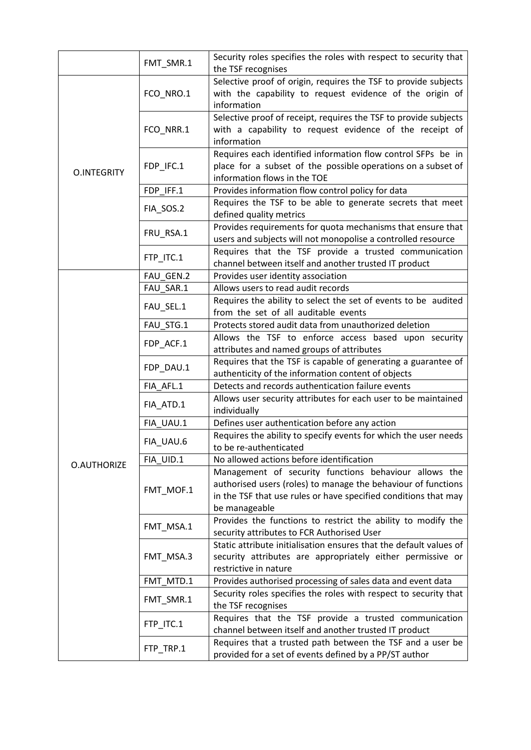|                    | FMT_SMR.1              | Security roles specifies the roles with respect to security that<br>the TSF recognises |  |  |
|--------------------|------------------------|----------------------------------------------------------------------------------------|--|--|
|                    |                        | Selective proof of origin, requires the TSF to provide subjects                        |  |  |
|                    | FCO_NRO.1              | with the capability to request evidence of the origin of                               |  |  |
|                    |                        | information                                                                            |  |  |
|                    |                        | Selective proof of receipt, requires the TSF to provide subjects                       |  |  |
|                    | FCO_NRR.1              | with a capability to request evidence of the receipt of                                |  |  |
|                    |                        | information                                                                            |  |  |
|                    |                        | Requires each identified information flow control SFPs be in                           |  |  |
|                    | FDP_IFC.1              | place for a subset of the possible operations on a subset of                           |  |  |
| <b>O.INTEGRITY</b> |                        | information flows in the TOE                                                           |  |  |
|                    | FDP_IFF.1              | Provides information flow control policy for data                                      |  |  |
|                    |                        | Requires the TSF to be able to generate secrets that meet                              |  |  |
|                    | FIA_SOS.2              | defined quality metrics                                                                |  |  |
|                    |                        | Provides requirements for quota mechanisms that ensure that                            |  |  |
|                    | FRU_RSA.1              | users and subjects will not monopolise a controlled resource                           |  |  |
|                    |                        | Requires that the TSF provide a trusted communication                                  |  |  |
|                    | FTP_ITC.1              | channel between itself and another trusted IT product                                  |  |  |
|                    | FAU GEN.2              | Provides user identity association                                                     |  |  |
|                    | FAU SAR.1              | Allows users to read audit records                                                     |  |  |
|                    |                        | Requires the ability to select the set of events to be audited                         |  |  |
|                    | FAU_SEL.1              | from the set of all auditable events                                                   |  |  |
|                    | FAU_STG.1              | Protects stored audit data from unauthorized deletion                                  |  |  |
|                    |                        | Allows the TSF to enforce access based upon security                                   |  |  |
|                    | FDP_ACF.1              | attributes and named groups of attributes                                              |  |  |
|                    | FDP_DAU.1              | Requires that the TSF is capable of generating a guarantee of                          |  |  |
|                    |                        | authenticity of the information content of objects                                     |  |  |
|                    | FIA AFL.1              | Detects and records authentication failure events                                      |  |  |
|                    | FIA_ATD.1              | Allows user security attributes for each user to be maintained                         |  |  |
|                    |                        | individually                                                                           |  |  |
|                    | FIA UAU.1              | Defines user authentication before any action                                          |  |  |
|                    | FIA_UAU.6              | Requires the ability to specify events for which the user needs                        |  |  |
|                    |                        | to be re-authenticated                                                                 |  |  |
| <b>O.AUTHORIZE</b> | FIA UID.1              | No allowed actions before identification                                               |  |  |
|                    |                        | Management of security functions behaviour allows the                                  |  |  |
|                    | FMT_MOF.1              | authorised users (roles) to manage the behaviour of functions                          |  |  |
|                    |                        | in the TSF that use rules or have specified conditions that may                        |  |  |
|                    |                        | be manageable                                                                          |  |  |
|                    | FMT_MSA.1              | Provides the functions to restrict the ability to modify the                           |  |  |
|                    |                        | security attributes to FCR Authorised User                                             |  |  |
|                    |                        | Static attribute initialisation ensures that the default values of                     |  |  |
|                    | FMT_MSA.3              | security attributes are appropriately either permissive or                             |  |  |
|                    |                        | restrictive in nature                                                                  |  |  |
|                    | FMT_MTD.1              | Provides authorised processing of sales data and event data                            |  |  |
|                    | FMT_SMR.1              | Security roles specifies the roles with respect to security that                       |  |  |
|                    |                        | the TSF recognises                                                                     |  |  |
|                    | FTP_ITC.1<br>FTP_TRP.1 | Requires that the TSF provide a trusted communication                                  |  |  |
|                    |                        | channel between itself and another trusted IT product                                  |  |  |
|                    |                        | Requires that a trusted path between the TSF and a user be                             |  |  |
|                    |                        | provided for a set of events defined by a PP/ST author                                 |  |  |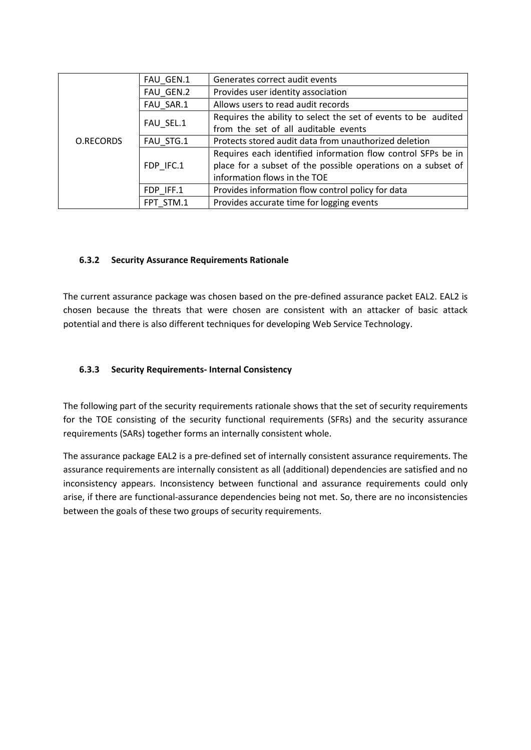|                  | FAU GEN.1 | Generates correct audit events                                 |  |  |  |
|------------------|-----------|----------------------------------------------------------------|--|--|--|
|                  | FAU_GEN.2 | Provides user identity association                             |  |  |  |
|                  | FAU SAR.1 | Allows users to read audit records                             |  |  |  |
|                  | FAU SEL.1 | Requires the ability to select the set of events to be audited |  |  |  |
| <b>O.RECORDS</b> |           | from the set of all auditable events                           |  |  |  |
|                  | FAU STG.1 | Protects stored audit data from unauthorized deletion          |  |  |  |
|                  |           | Requires each identified information flow control SFPs be in   |  |  |  |
|                  | FDP IFC.1 | place for a subset of the possible operations on a subset of   |  |  |  |
|                  |           | information flows in the TOE                                   |  |  |  |
|                  | FDP IFF.1 | Provides information flow control policy for data              |  |  |  |
|                  | FPT STM.1 | Provides accurate time for logging events                      |  |  |  |

#### <span id="page-41-0"></span>**6.3.2 Security Assurance Requirements Rationale**

The current assurance package was chosen based on the pre-defined assurance packet EAL2. EAL2 is chosen because the threats that were chosen are consistent with an attacker of basic attack potential and there is also different techniques for developing Web Service Technology.

#### <span id="page-41-1"></span>**6.3.3 Security Requirements- Internal Consistency**

The following part of the security requirements rationale shows that the set of security requirements for the TOE consisting of the security functional requirements (SFRs) and the security assurance requirements (SARs) together forms an internally consistent whole.

The assurance package EAL2 is a pre-defined set of internally consistent assurance requirements. The assurance requirements are internally consistent as all (additional) dependencies are satisfied and no inconsistency appears. Inconsistency between functional and assurance requirements could only arise, if there are functional-assurance dependencies being not met. So, there are no inconsistencies between the goals of these two groups of security requirements.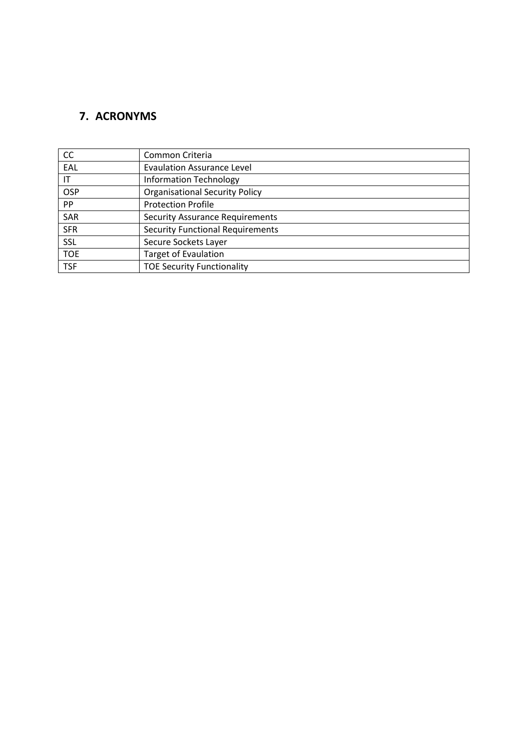# <span id="page-42-0"></span>**7. ACRONYMS**

| <b>CC</b>  | Common Criteria                         |
|------------|-----------------------------------------|
| EAL        | <b>Evaulation Assurance Level</b>       |
| IT         | <b>Information Technology</b>           |
| OSP        | <b>Organisational Security Policy</b>   |
| <b>PP</b>  | <b>Protection Profile</b>               |
| SAR        | <b>Security Assurance Requirements</b>  |
| <b>SFR</b> | <b>Security Functional Requirements</b> |
| <b>SSL</b> | Secure Sockets Layer                    |
| <b>TOE</b> | <b>Target of Evaulation</b>             |
| <b>TSF</b> | <b>TOE Security Functionality</b>       |